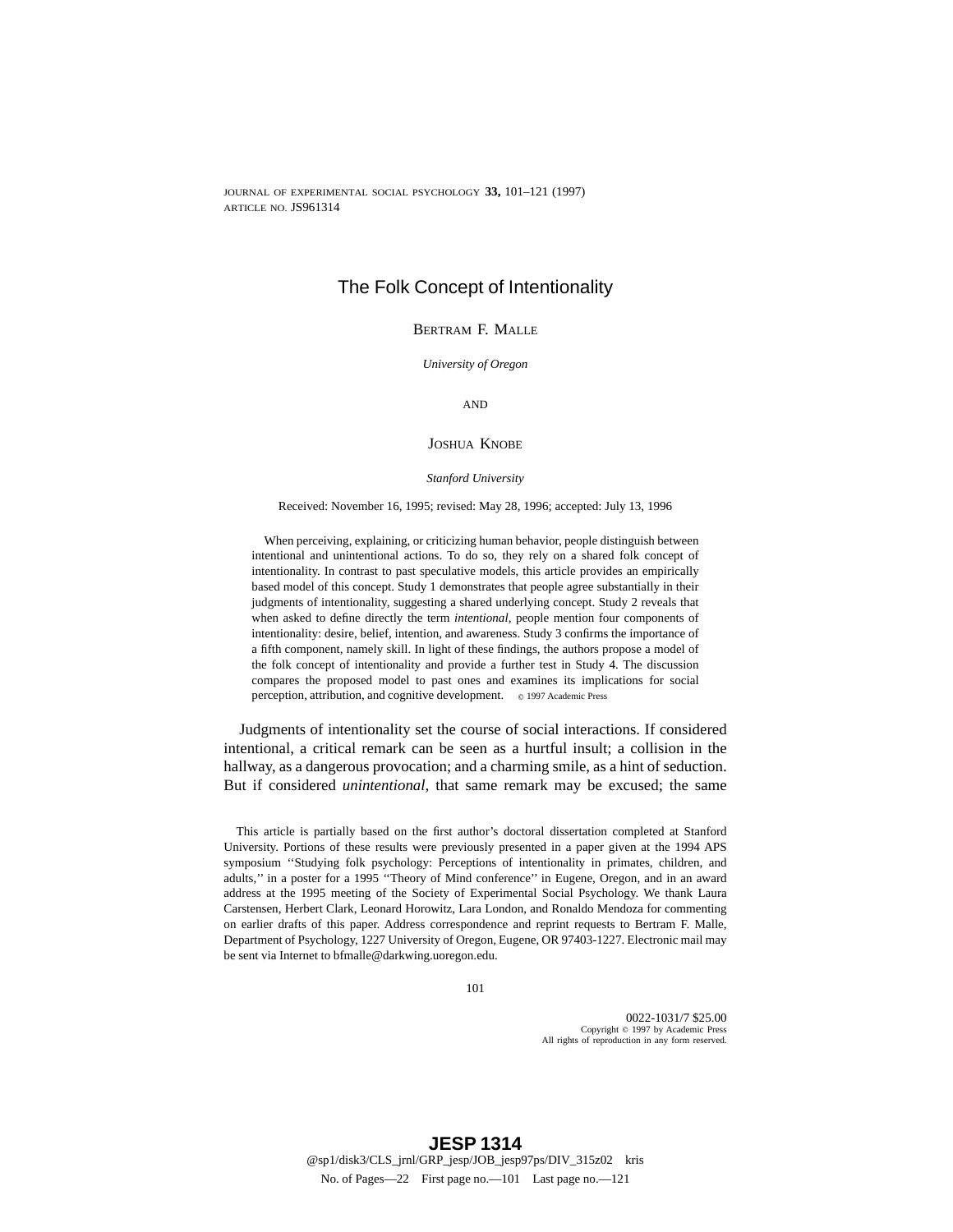# The Folk Concept of Intentionality

### BERTRAM F. MALLE

*University of Oregon*

#### AND

## **JOSHUA KNOBE**

#### *Stanford University*

Received: November 16, 1995; revised: May 28, 1996; accepted: July 13, 1996

When perceiving, explaining, or criticizing human behavior, people distinguish between intentional and unintentional actions. To do so, they rely on a shared folk concept of intentionality. In contrast to past speculative models, this article provides an empirically based model of this concept. Study 1 demonstrates that people agree substantially in their judgments of intentionality, suggesting a shared underlying concept. Study 2 reveals that when asked to define directly the term *intentional,* people mention four components of intentionality: desire, belief, intention, and awareness. Study 3 confirms the importance of a fifth component, namely skill. In light of these findings, the authors propose a model of the folk concept of intentionality and provide a further test in Study 4. The discussion compares the proposed model to past ones and examines its implications for social perception, attribution, and cognitive development.  $\circ$  1997 Academic Press

Judgments of intentionality set the course of social interactions. If considered intentional, a critical remark can be seen as a hurtful insult; a collision in the hallway, as a dangerous provocation; and a charming smile, as a hint of seduction. But if considered *unintentional,* that same remark may be excused; the same

This article is partially based on the first author's doctoral dissertation completed at Stanford University. Portions of these results were previously presented in a paper given at the 1994 APS symposium ''Studying folk psychology: Perceptions of intentionality in primates, children, and adults,'' in a poster for a 1995 ''Theory of Mind conference'' in Eugene, Oregon, and in an award address at the 1995 meeting of the Society of Experimental Social Psychology. We thank Laura Carstensen, Herbert Clark, Leonard Horowitz, Lara London, and Ronaldo Mendoza for commenting on earlier drafts of this paper. Address correspondence and reprint requests to Bertram F. Malle, Department of Psychology, 1227 University of Oregon, Eugene, OR 97403-1227. Electronic mail may be sent via Internet to bfmalle@darkwing.uoregon.edu.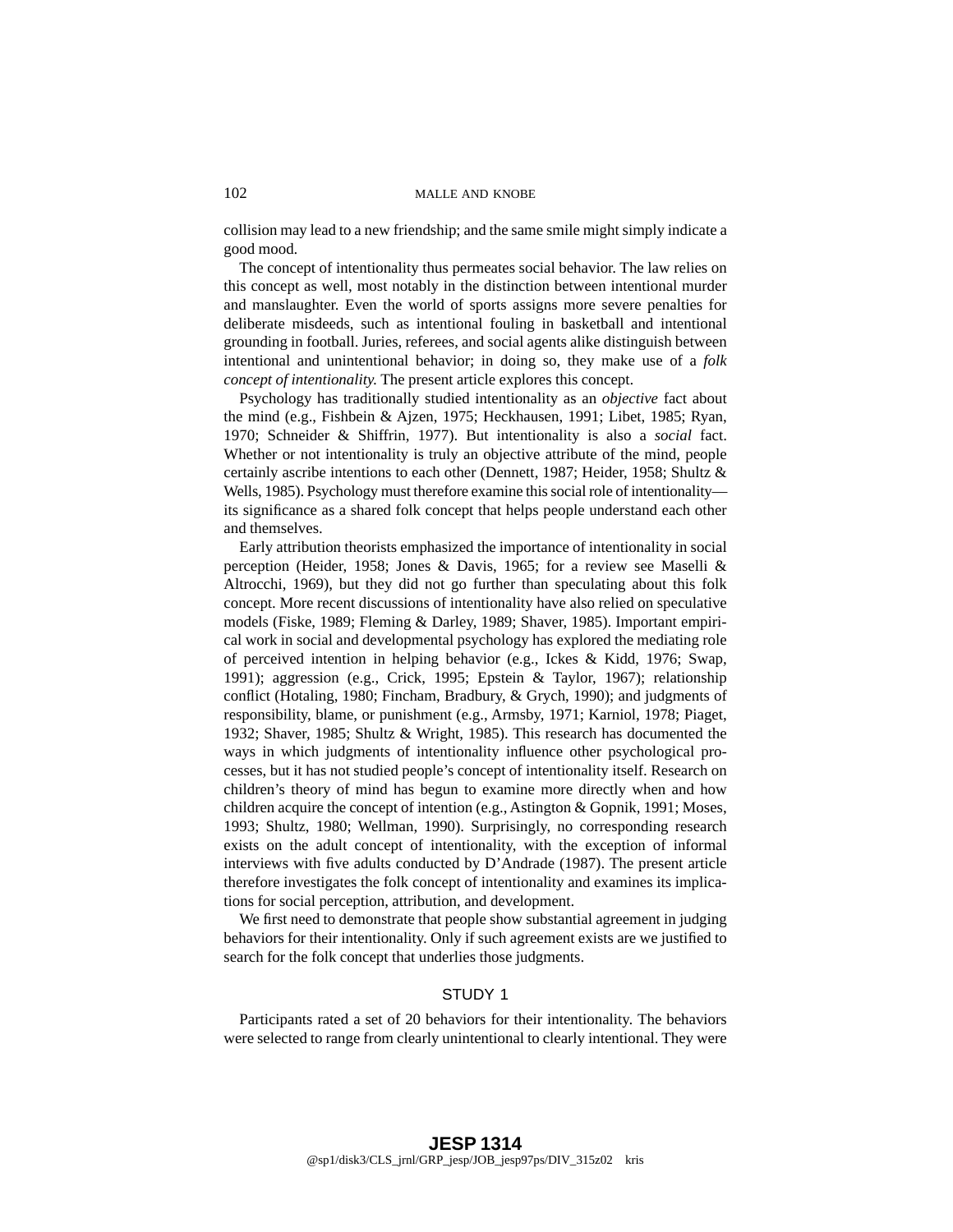collision may lead to a new friendship; and the same smile might simply indicate a good mood.

The concept of intentionality thus permeates social behavior. The law relies on this concept as well, most notably in the distinction between intentional murder and manslaughter. Even the world of sports assigns more severe penalties for deliberate misdeeds, such as intentional fouling in basketball and intentional grounding in football. Juries, referees, and social agents alike distinguish between intentional and unintentional behavior; in doing so, they make use of a *folk concept of intentionality.* The present article explores this concept.

Psychology has traditionally studied intentionality as an *objective* fact about the mind (e.g., Fishbein & Ajzen, 1975; Heckhausen, 1991; Libet, 1985; Ryan, 1970; Schneider & Shiffrin, 1977). But intentionality is also a *social* fact. Whether or not intentionality is truly an objective attribute of the mind, people certainly ascribe intentions to each other (Dennett, 1987; Heider, 1958; Shultz & Wells, 1985). Psychology must therefore examine this social role of intentionality its significance as a shared folk concept that helps people understand each other and themselves.

Early attribution theorists emphasized the importance of intentionality in social perception (Heider, 1958; Jones & Davis, 1965; for a review see Maselli & Altrocchi, 1969), but they did not go further than speculating about this folk concept. More recent discussions of intentionality have also relied on speculative models (Fiske, 1989; Fleming & Darley, 1989; Shaver, 1985). Important empirical work in social and developmental psychology has explored the mediating role of perceived intention in helping behavior (e.g., Ickes & Kidd, 1976; Swap, 1991); aggression (e.g., Crick, 1995; Epstein & Taylor, 1967); relationship conflict (Hotaling, 1980; Fincham, Bradbury, & Grych, 1990); and judgments of responsibility, blame, or punishment (e.g., Armsby, 1971; Karniol, 1978; Piaget, 1932; Shaver, 1985; Shultz & Wright, 1985). This research has documented the ways in which judgments of intentionality influence other psychological processes, but it has not studied people's concept of intentionality itself. Research on children's theory of mind has begun to examine more directly when and how children acquire the concept of intention (e.g., Astington & Gopnik, 1991; Moses, 1993; Shultz, 1980; Wellman, 1990). Surprisingly, no corresponding research exists on the adult concept of intentionality, with the exception of informal interviews with five adults conducted by D'Andrade (1987). The present article therefore investigates the folk concept of intentionality and examines its implications for social perception, attribution, and development.

We first need to demonstrate that people show substantial agreement in judging behaviors for their intentionality. Only if such agreement exists are we justified to search for the folk concept that underlies those judgments.

# STUDY 1

Participants rated a set of 20 behaviors for their intentionality. The behaviors were selected to range from clearly unintentional to clearly intentional. They were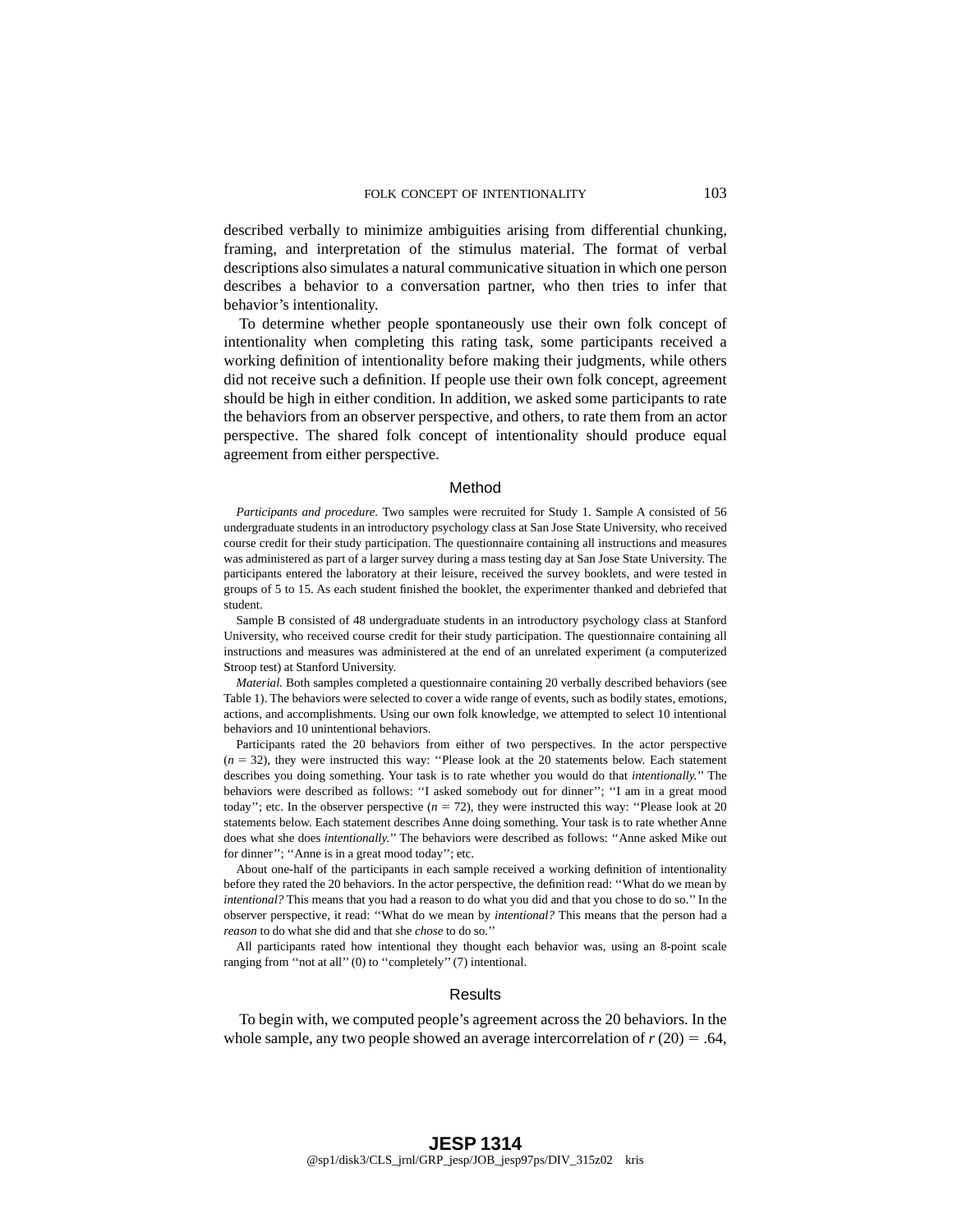described verbally to minimize ambiguities arising from differential chunking, framing, and interpretation of the stimulus material. The format of verbal descriptions also simulates a natural communicative situation in which one person describes a behavior to a conversation partner, who then tries to infer that behavior's intentionality.

To determine whether people spontaneously use their own folk concept of intentionality when completing this rating task, some participants received a working definition of intentionality before making their judgments, while others did not receive such a definition. If people use their own folk concept, agreement should be high in either condition. In addition, we asked some participants to rate the behaviors from an observer perspective, and others, to rate them from an actor perspective. The shared folk concept of intentionality should produce equal agreement from either perspective.

# Method

*Participants and procedure.* Two samples were recruited for Study 1. Sample A consisted of 56 undergraduate students in an introductory psychology class at San Jose State University, who received course credit for their study participation. The questionnaire containing all instructions and measures was administered as part of a larger survey during a mass testing day at San Jose State University. The participants entered the laboratory at their leisure, received the survey booklets, and were tested in groups of 5 to 15. As each student finished the booklet, the experimenter thanked and debriefed that student.

Sample B consisted of 48 undergraduate students in an introductory psychology class at Stanford University, who received course credit for their study participation. The questionnaire containing all instructions and measures was administered at the end of an unrelated experiment (a computerized Stroop test) at Stanford University.

*Material.* Both samples completed a questionnaire containing 20 verbally described behaviors (see Table 1). The behaviors were selected to cover a wide range of events, such as bodily states, emotions, actions, and accomplishments. Using our own folk knowledge, we attempted to select 10 intentional behaviors and 10 unintentional behaviors.

Participants rated the 20 behaviors from either of two perspectives. In the actor perspective  $(n = 32)$ , they were instructed this way: "Please look at the 20 statements below. Each statement describes you doing something. Your task is to rate whether you would do that *intentionally.*'' The behaviors were described as follows: ''I asked somebody out for dinner''; ''I am in a great mood today"; etc. In the observer perspective  $(n = 72)$ , they were instructed this way: "Please look at 20" statements below. Each statement describes Anne doing something. Your task is to rate whether Anne does what she does *intentionally.*'' The behaviors were described as follows: ''Anne asked Mike out for dinner"; "Anne is in a great mood today"; etc.

About one-half of the participants in each sample received a working definition of intentionality before they rated the 20 behaviors. In the actor perspective, the definition read: ''What do we mean by *intentional?* This means that you had a reason to do what you did and that you chose to do so." In the observer perspective, it read: ''What do we mean by *intentional?* This means that the person had a *reason* to do what she did and that she *chose* to do so.''

All participants rated how intentional they thought each behavior was, using an 8-point scale ranging from "not at all" (0) to "completely" (7) intentional.

## Results

To begin with, we computed people's agreement across the 20 behaviors. In the whole sample, any two people showed an average intercorrelation of  $r(20) = .64$ ,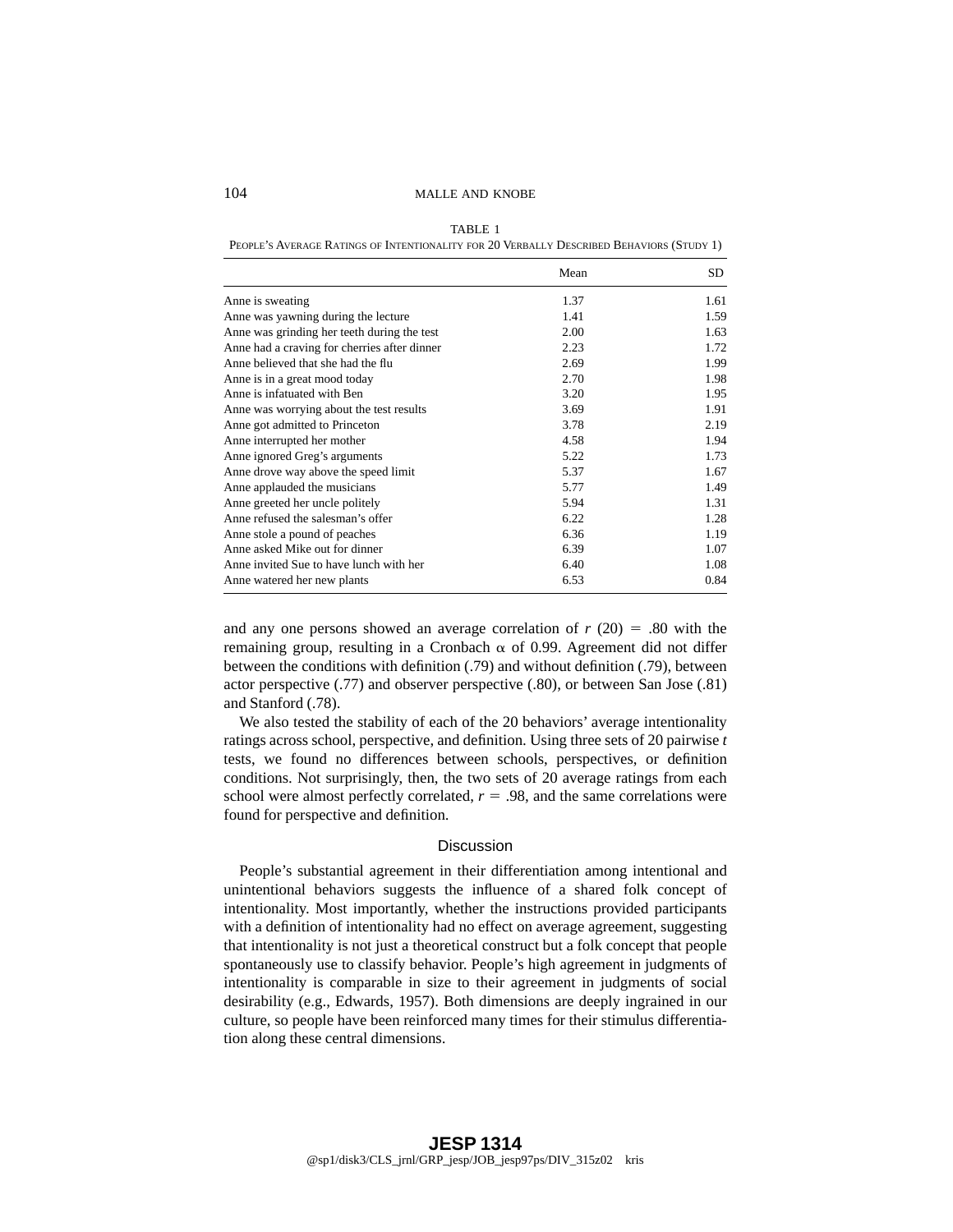### 104 MALLE AND KNOBE

|                                              | Mean | SD.  |
|----------------------------------------------|------|------|
| Anne is sweating                             | 1.37 | 1.61 |
| Anne was yawning during the lecture          | 1.41 | 1.59 |
| Anne was grinding her teeth during the test  | 2.00 | 1.63 |
| Anne had a craving for cherries after dinner | 2.23 | 1.72 |
| Anne believed that she had the flu           | 2.69 | 1.99 |
| Anne is in a great mood today                | 2.70 | 1.98 |
| Anne is infatuated with Ben                  | 3.20 | 1.95 |
| Anne was worrying about the test results     | 3.69 | 1.91 |
| Anne got admitted to Princeton               | 3.78 | 2.19 |
| Anne interrupted her mother                  | 4.58 | 1.94 |
| Anne ignored Greg's arguments                | 5.22 | 1.73 |
| Anne drove way above the speed limit         | 5.37 | 1.67 |
| Anne applauded the musicians                 | 5.77 | 1.49 |
| Anne greeted her uncle politely              | 5.94 | 1.31 |
| Anne refused the salesman's offer            | 6.22 | 1.28 |
| Anne stole a pound of peaches                | 6.36 | 1.19 |
| Anne asked Mike out for dinner               | 6.39 | 1.07 |
| Anne invited Sue to have lunch with her      | 6.40 | 1.08 |
| Anne watered her new plants                  | 6.53 | 0.84 |

TABLE 1 PEOPLE'S AVERAGE RATINGS OF INTENTIONALITY FOR 20 VERBALLY DESCRIBED BEHAVIORS (STUDY 1)

and any one persons showed an average correlation of  $r(20) = .80$  with the remaining group, resulting in a Cronbach  $\alpha$  of 0.99. Agreement did not differ between the conditions with definition (.79) and without definition (.79), between actor perspective (.77) and observer perspective (.80), or between San Jose (.81) and Stanford (.78).

We also tested the stability of each of the 20 behaviors' average intentionality ratings across school, perspective, and definition. Using three sets of 20 pairwise *t* tests, we found no differences between schools, perspectives, or definition conditions. Not surprisingly, then, the two sets of 20 average ratings from each school were almost perfectly correlated,  $r = .98$ , and the same correlations were found for perspective and definition.

# Discussion

People's substantial agreement in their differentiation among intentional and unintentional behaviors suggests the influence of a shared folk concept of intentionality. Most importantly, whether the instructions provided participants with a definition of intentionality had no effect on average agreement, suggesting that intentionality is not just a theoretical construct but a folk concept that people spontaneously use to classify behavior. People's high agreement in judgments of intentionality is comparable in size to their agreement in judgments of social desirability (e.g., Edwards, 1957). Both dimensions are deeply ingrained in our culture, so people have been reinforced many times for their stimulus differentiation along these central dimensions.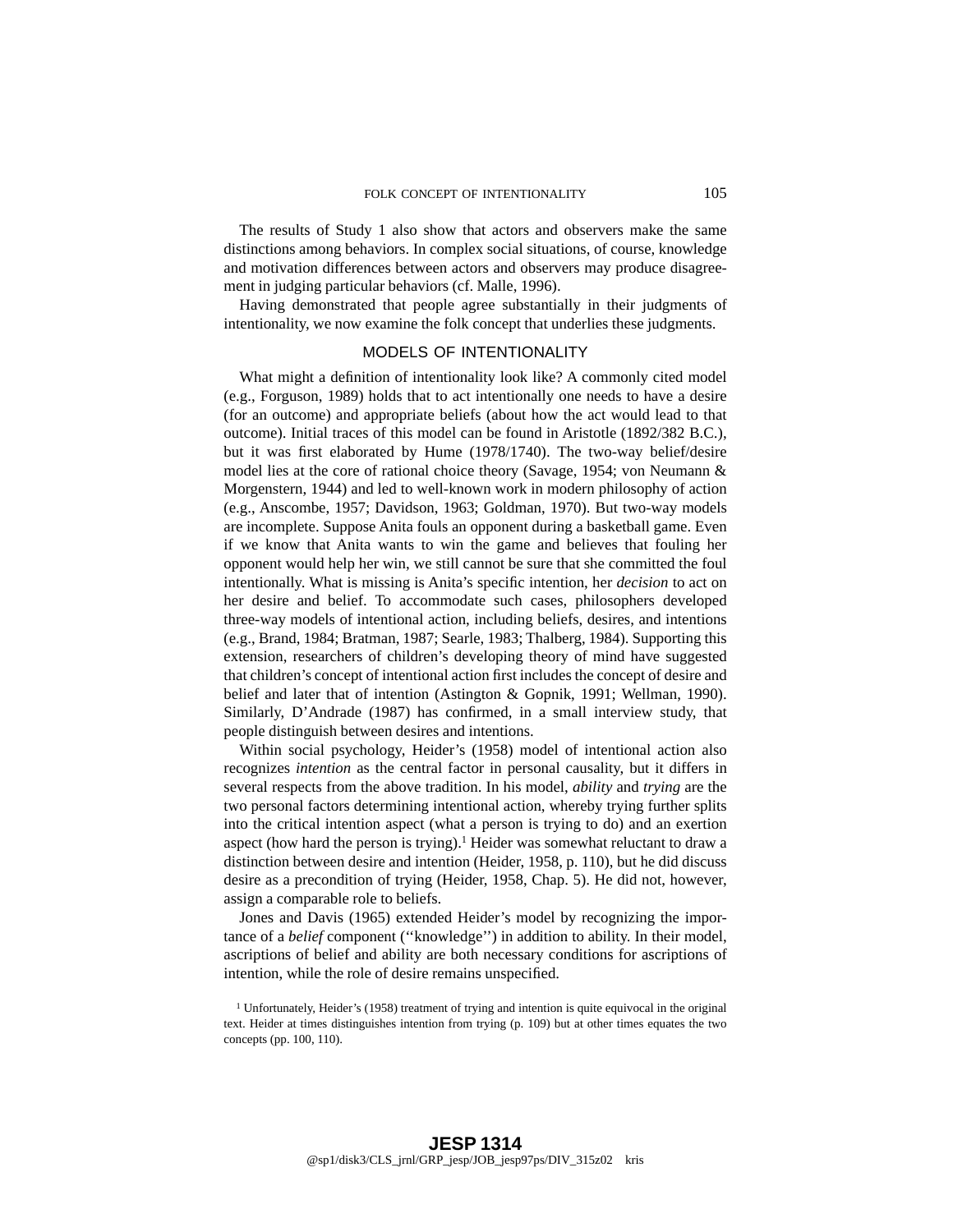The results of Study 1 also show that actors and observers make the same distinctions among behaviors. In complex social situations, of course, knowledge and motivation differences between actors and observers may produce disagreement in judging particular behaviors (cf. Malle, 1996).

Having demonstrated that people agree substantially in their judgments of intentionality, we now examine the folk concept that underlies these judgments.

# MODELS OF INTENTIONALITY

What might a definition of intentionality look like? A commonly cited model (e.g., Forguson, 1989) holds that to act intentionally one needs to have a desire (for an outcome) and appropriate beliefs (about how the act would lead to that outcome). Initial traces of this model can be found in Aristotle (1892/382 B.C.), but it was first elaborated by Hume (1978/1740). The two-way belief/desire model lies at the core of rational choice theory (Savage, 1954; von Neumann & Morgenstern, 1944) and led to well-known work in modern philosophy of action (e.g., Anscombe, 1957; Davidson, 1963; Goldman, 1970). But two-way models are incomplete. Suppose Anita fouls an opponent during a basketball game. Even if we know that Anita wants to win the game and believes that fouling her opponent would help her win, we still cannot be sure that she committed the foul intentionally. What is missing is Anita's specific intention, her *decision* to act on her desire and belief. To accommodate such cases, philosophers developed three-way models of intentional action, including beliefs, desires, and intentions (e.g., Brand, 1984; Bratman, 1987; Searle, 1983; Thalberg, 1984). Supporting this extension, researchers of children's developing theory of mind have suggested that children's concept of intentional action first includes the concept of desire and belief and later that of intention (Astington & Gopnik, 1991; Wellman, 1990). Similarly, D'Andrade (1987) has confirmed, in a small interview study, that people distinguish between desires and intentions.

Within social psychology, Heider's (1958) model of intentional action also recognizes *intention* as the central factor in personal causality, but it differs in several respects from the above tradition. In his model, *ability* and *trying* are the two personal factors determining intentional action, whereby trying further splits into the critical intention aspect (what a person is trying to do) and an exertion aspect (how hard the person is trying).<sup>1</sup> Heider was somewhat reluctant to draw a distinction between desire and intention (Heider, 1958, p. 110), but he did discuss desire as a precondition of trying (Heider, 1958, Chap. 5). He did not, however, assign a comparable role to beliefs.

Jones and Davis (1965) extended Heider's model by recognizing the importance of a *belief* component (''knowledge'') in addition to ability. In their model, ascriptions of belief and ability are both necessary conditions for ascriptions of intention, while the role of desire remains unspecified.

<sup>&</sup>lt;sup>1</sup> Unfortunately, Heider's (1958) treatment of trying and intention is quite equivocal in the original text. Heider at times distinguishes intention from trying (p. 109) but at other times equates the two concepts (pp. 100, 110).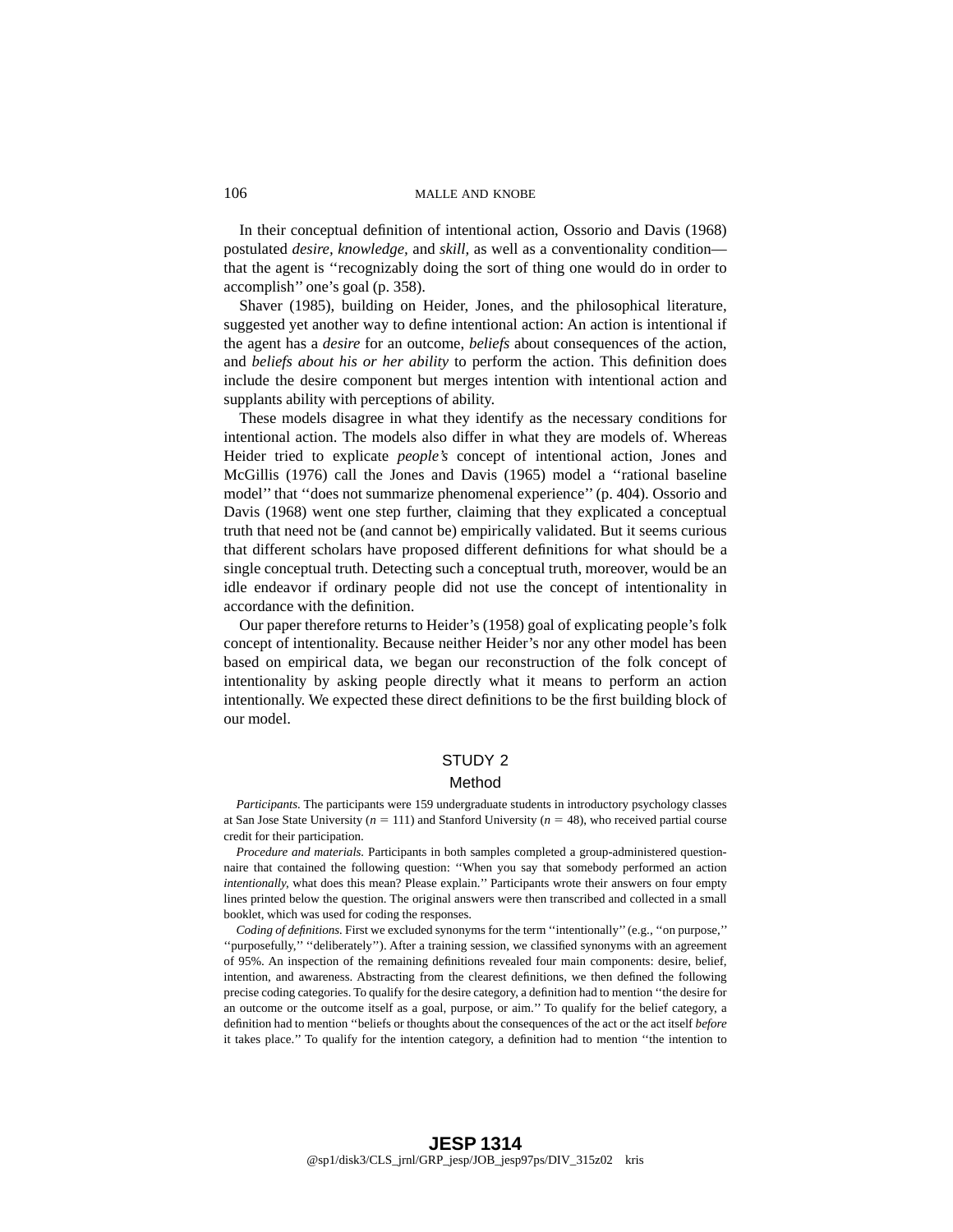In their conceptual definition of intentional action, Ossorio and Davis (1968) postulated *desire, knowledge,* and *skill,* as well as a conventionality condition that the agent is ''recognizably doing the sort of thing one would do in order to accomplish'' one's goal (p. 358).

Shaver (1985), building on Heider, Jones, and the philosophical literature, suggested yet another way to define intentional action: An action is intentional if the agent has a *desire* for an outcome, *beliefs* about consequences of the action, and *beliefs about his or her ability* to perform the action. This definition does include the desire component but merges intention with intentional action and supplants ability with perceptions of ability.

These models disagree in what they identify as the necessary conditions for intentional action. The models also differ in what they are models of. Whereas Heider tried to explicate *people's* concept of intentional action, Jones and McGillis (1976) call the Jones and Davis (1965) model a ''rational baseline model'' that ''does not summarize phenomenal experience'' (p. 404). Ossorio and Davis (1968) went one step further, claiming that they explicated a conceptual truth that need not be (and cannot be) empirically validated. But it seems curious that different scholars have proposed different definitions for what should be a single conceptual truth. Detecting such a conceptual truth, moreover, would be an idle endeavor if ordinary people did not use the concept of intentionality in accordance with the definition.

Our paper therefore returns to Heider's (1958) goal of explicating people's folk concept of intentionality. Because neither Heider's nor any other model has been based on empirical data, we began our reconstruction of the folk concept of intentionality by asking people directly what it means to perform an action intentionally. We expected these direct definitions to be the first building block of our model.

# STUDY 2

## Method

*Participants.* The participants were 159 undergraduate students in introductory psychology classes at San Jose State University ( $n = 111$ ) and Stanford University ( $n = 48$ ), who received partial course credit for their participation.

*Procedure and materials.* Participants in both samples completed a group-administered questionnaire that contained the following question: ''When you say that somebody performed an action *intentionally*, what does this mean? Please explain." Participants wrote their answers on four empty lines printed below the question. The original answers were then transcribed and collected in a small booklet, which was used for coding the responses.

*Coding of definitions.* First we excluded synonyms for the term ''intentionally'' (e.g., ''on purpose,'' ''purposefully,'' ''deliberately''). After a training session, we classified synonyms with an agreement of 95%. An inspection of the remaining definitions revealed four main components: desire, belief, intention, and awareness. Abstracting from the clearest definitions, we then defined the following precise coding categories. To qualify for the desire category, a definition had to mention ''the desire for an outcome or the outcome itself as a goal, purpose, or aim.'' To qualify for the belief category, a definition had to mention ''beliefs or thoughts about the consequences of the act or the act itself *before* it takes place.'' To qualify for the intention category, a definition had to mention ''the intention to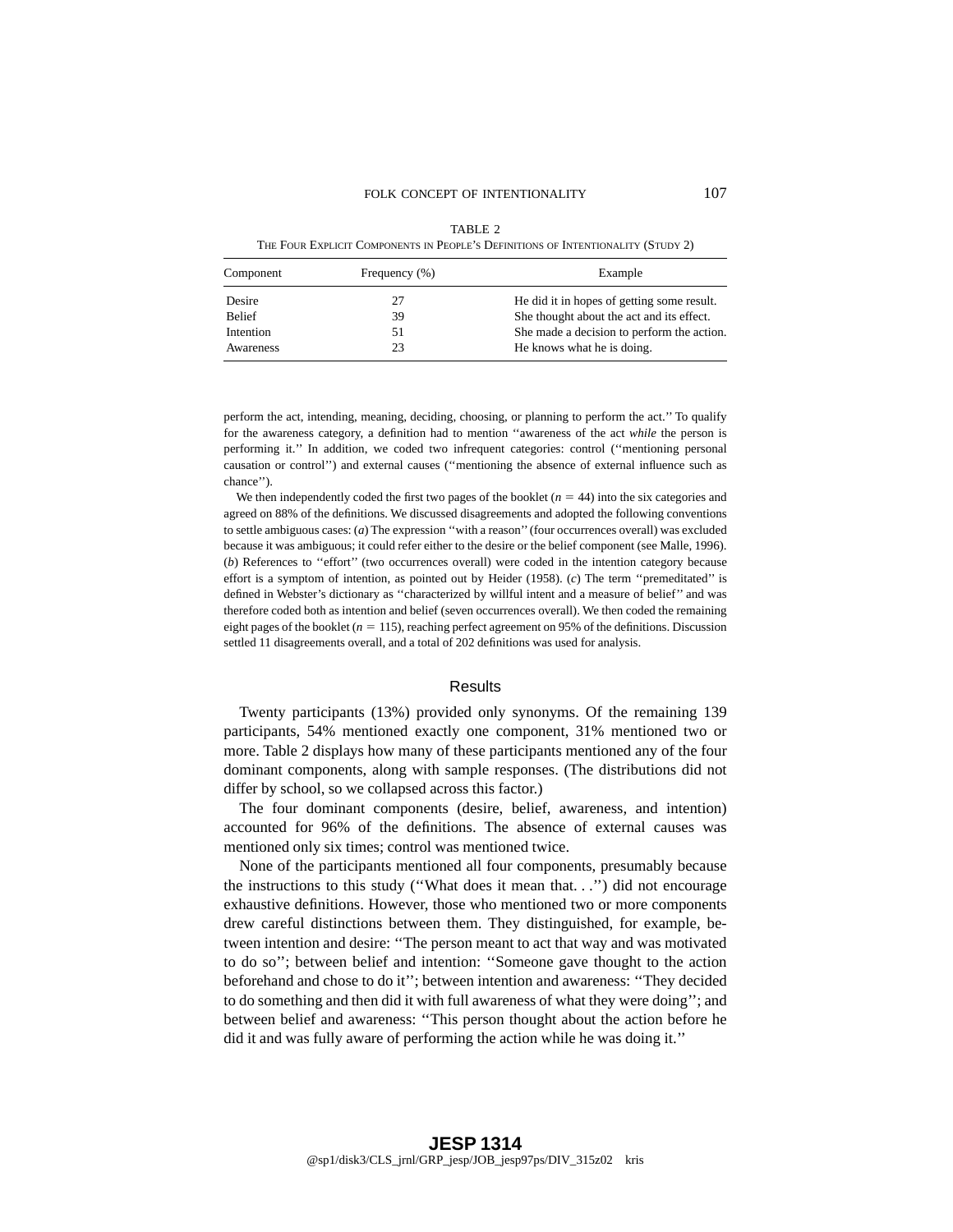### FOLK CONCEPT OF INTENTIONALITY 107

| Component     | Frequency (%) | Example                                    |
|---------------|---------------|--------------------------------------------|
| Desire        | 27            | He did it in hopes of getting some result. |
| <b>Belief</b> | 39            | She thought about the act and its effect.  |
| Intention     | 51            | She made a decision to perform the action. |
| Awareness     | 23            | He knows what he is doing.                 |

TABLE 2 THE FOUR EXPLICIT COMPONENTS IN PEOPLE'S DEFINITIONS OF INTENTIONALITY (STUDY 2)

perform the act, intending, meaning, deciding, choosing, or planning to perform the act.'' To qualify for the awareness category, a definition had to mention ''awareness of the act *while* the person is performing it.'' In addition, we coded two infrequent categories: control (''mentioning personal causation or control'') and external causes (''mentioning the absence of external influence such as chance'').

We then independently coded the first two pages of the booklet  $(n = 44)$  into the six categories and agreed on 88% of the definitions. We discussed disagreements and adopted the following conventions to settle ambiguous cases: (*a*) The expression ''with a reason'' (four occurrences overall) was excluded because it was ambiguous; it could refer either to the desire or the belief component (see Malle, 1996). (*b*) References to ''effort'' (two occurrences overall) were coded in the intention category because effort is a symptom of intention, as pointed out by Heider (1958). (*c*) The term ''premeditated'' is defined in Webster's dictionary as ''characterized by willful intent and a measure of belief'' and was therefore coded both as intention and belief (seven occurrences overall). We then coded the remaining eight pages of the booklet  $(n = 115)$ , reaching perfect agreement on 95% of the definitions. Discussion settled 11 disagreements overall, and a total of 202 definitions was used for analysis.

### **Results**

Twenty participants (13%) provided only synonyms. Of the remaining 139 participants, 54% mentioned exactly one component, 31% mentioned two or more. Table 2 displays how many of these participants mentioned any of the four dominant components, along with sample responses. (The distributions did not differ by school, so we collapsed across this factor.)

The four dominant components (desire, belief, awareness, and intention) accounted for 96% of the definitions. The absence of external causes was mentioned only six times; control was mentioned twice.

None of the participants mentioned all four components, presumably because the instructions to this study (''What does it mean that. . .'') did not encourage exhaustive definitions. However, those who mentioned two or more components drew careful distinctions between them. They distinguished, for example, between intention and desire: ''The person meant to act that way and was motivated to do so''; between belief and intention: ''Someone gave thought to the action beforehand and chose to do it''; between intention and awareness: ''They decided to do something and then did it with full awareness of what they were doing''; and between belief and awareness: ''This person thought about the action before he did it and was fully aware of performing the action while he was doing it.''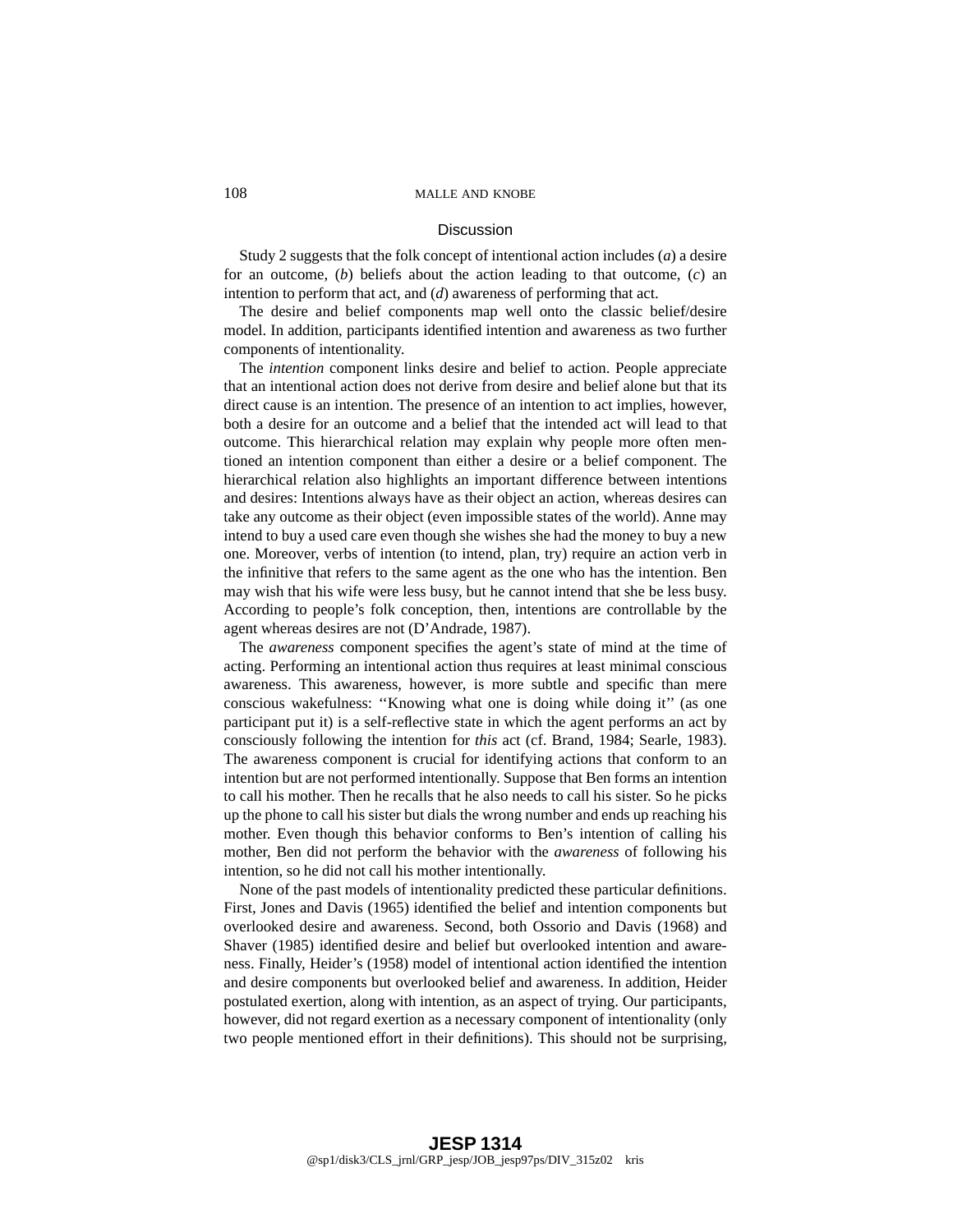### **Discussion**

Study 2 suggests that the folk concept of intentional action includes (*a*) a desire for an outcome, (*b*) beliefs about the action leading to that outcome, (*c*) an intention to perform that act, and (*d*) awareness of performing that act.

The desire and belief components map well onto the classic belief/desire model. In addition, participants identified intention and awareness as two further components of intentionality.

The *intention* component links desire and belief to action. People appreciate that an intentional action does not derive from desire and belief alone but that its direct cause is an intention. The presence of an intention to act implies, however, both a desire for an outcome and a belief that the intended act will lead to that outcome. This hierarchical relation may explain why people more often mentioned an intention component than either a desire or a belief component. The hierarchical relation also highlights an important difference between intentions and desires: Intentions always have as their object an action, whereas desires can take any outcome as their object (even impossible states of the world). Anne may intend to buy a used care even though she wishes she had the money to buy a new one. Moreover, verbs of intention (to intend, plan, try) require an action verb in the infinitive that refers to the same agent as the one who has the intention. Ben may wish that his wife were less busy, but he cannot intend that she be less busy. According to people's folk conception, then, intentions are controllable by the agent whereas desires are not (D'Andrade, 1987).

The *awareness* component specifies the agent's state of mind at the time of acting. Performing an intentional action thus requires at least minimal conscious awareness. This awareness, however, is more subtle and specific than mere conscious wakefulness: ''Knowing what one is doing while doing it'' (as one participant put it) is a self-reflective state in which the agent performs an act by consciously following the intention for *this* act (cf. Brand, 1984; Searle, 1983). The awareness component is crucial for identifying actions that conform to an intention but are not performed intentionally. Suppose that Ben forms an intention to call his mother. Then he recalls that he also needs to call his sister. So he picks up the phone to call his sister but dials the wrong number and ends up reaching his mother. Even though this behavior conforms to Ben's intention of calling his mother, Ben did not perform the behavior with the *awareness* of following his intention, so he did not call his mother intentionally.

None of the past models of intentionality predicted these particular definitions. First, Jones and Davis (1965) identified the belief and intention components but overlooked desire and awareness. Second, both Ossorio and Davis (1968) and Shaver (1985) identified desire and belief but overlooked intention and awareness. Finally, Heider's (1958) model of intentional action identified the intention and desire components but overlooked belief and awareness. In addition, Heider postulated exertion, along with intention, as an aspect of trying. Our participants, however, did not regard exertion as a necessary component of intentionality (only two people mentioned effort in their definitions). This should not be surprising,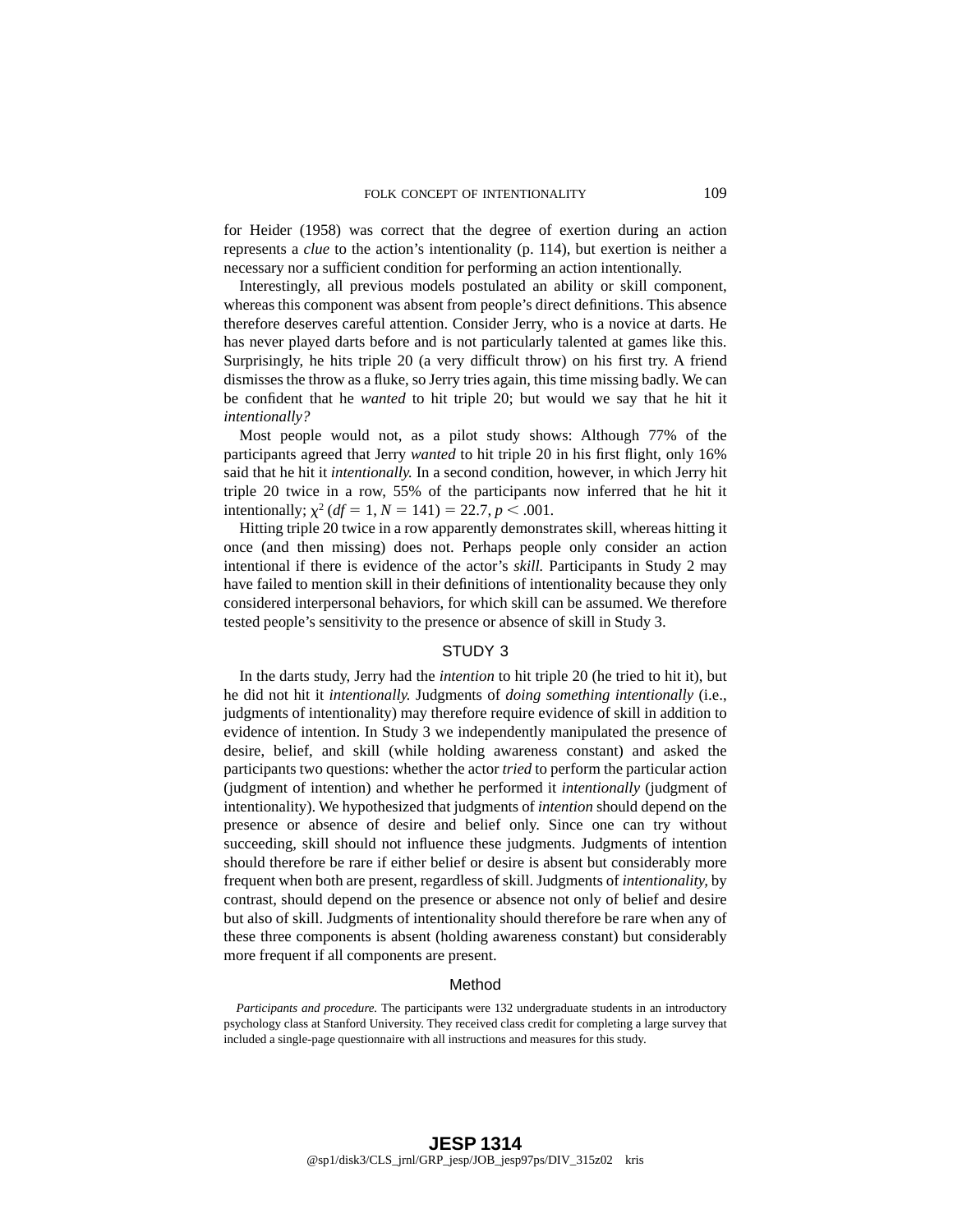for Heider (1958) was correct that the degree of exertion during an action represents a *clue* to the action's intentionality (p. 114), but exertion is neither a necessary nor a sufficient condition for performing an action intentionally.

Interestingly, all previous models postulated an ability or skill component, whereas this component was absent from people's direct definitions. This absence therefore deserves careful attention. Consider Jerry, who is a novice at darts. He has never played darts before and is not particularly talented at games like this. Surprisingly, he hits triple 20 (a very difficult throw) on his first try. A friend dismisses the throw as a fluke, so Jerry tries again, this time missing badly. We can be confident that he *wanted* to hit triple 20; but would we say that he hit it *intentionally?*

Most people would not, as a pilot study shows: Although 77% of the participants agreed that Jerry *wanted* to hit triple 20 in his first flight, only 16% said that he hit it *intentionally.* In a second condition, however, in which Jerry hit triple 20 twice in a row, 55% of the participants now inferred that he hit it intentionally;  $\chi^2$  (*df* = 1, *N* = 141) = 22.7, *p* < .001.

Hitting triple 20 twice in a row apparently demonstrates skill, whereas hitting it once (and then missing) does not. Perhaps people only consider an action intentional if there is evidence of the actor's *skill.* Participants in Study 2 may have failed to mention skill in their definitions of intentionality because they only considered interpersonal behaviors, for which skill can be assumed. We therefore tested people's sensitivity to the presence or absence of skill in Study 3.

# STUDY 3

In the darts study, Jerry had the *intention* to hit triple 20 (he tried to hit it), but he did not hit it *intentionally.* Judgments of *doing something intentionally* (i.e., judgments of intentionality) may therefore require evidence of skill in addition to evidence of intention. In Study 3 we independently manipulated the presence of desire, belief, and skill (while holding awareness constant) and asked the participants two questions: whether the actor *tried* to perform the particular action (judgment of intention) and whether he performed it *intentionally* (judgment of intentionality). We hypothesized that judgments of *intention* should depend on the presence or absence of desire and belief only. Since one can try without succeeding, skill should not influence these judgments. Judgments of intention should therefore be rare if either belief or desire is absent but considerably more frequent when both are present, regardless of skill. Judgments of *intentionality,* by contrast, should depend on the presence or absence not only of belief and desire but also of skill. Judgments of intentionality should therefore be rare when any of these three components is absent (holding awareness constant) but considerably more frequent if all components are present.

### Method

*Participants and procedure.* The participants were 132 undergraduate students in an introductory psychology class at Stanford University. They received class credit for completing a large survey that included a single-page questionnaire with all instructions and measures for this study.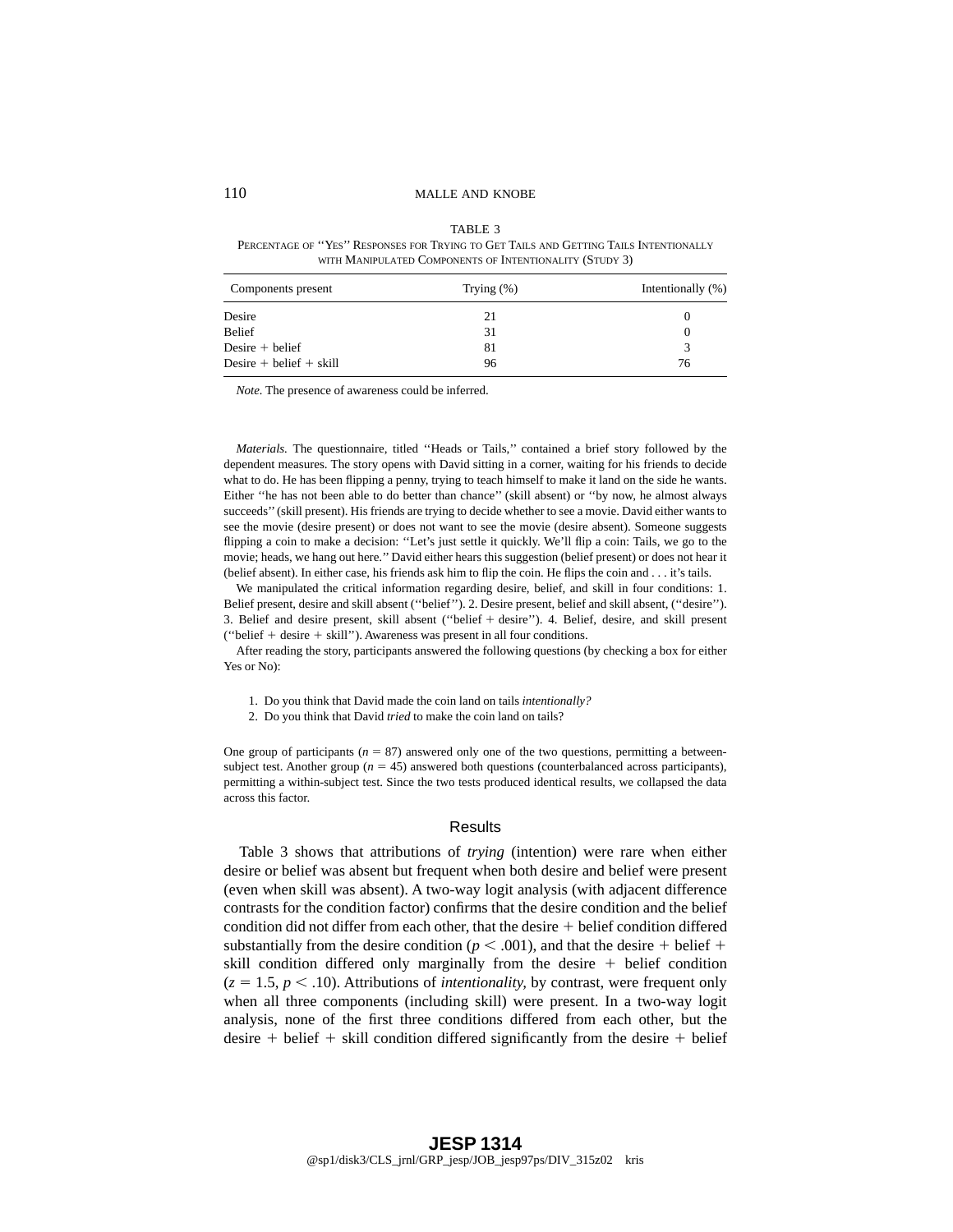#### 110 MALLE AND KNOBE

| Components present          | Trying $(\%)$ | Intentionally (%) |  |  |
|-----------------------------|---------------|-------------------|--|--|
| Desire                      | 21            |                   |  |  |
| <b>Belief</b>               | 31            | O                 |  |  |
| Desire $+$ belief           | 81            |                   |  |  |
| Desire $+$ belief $+$ skill | 96            | 76                |  |  |
|                             |               |                   |  |  |

#### TABLE 3

| PERCENTAGE OF "YES" RESPONSES FOR TRYING TO GET TAILS AND GETTING TAILS INTENTIONALLY |  |  |                                                         |  |  |
|---------------------------------------------------------------------------------------|--|--|---------------------------------------------------------|--|--|
|                                                                                       |  |  | WITH MANIPULATED COMPONENTS OF INTENTIONALITY (STUDY 3) |  |  |

*Note.* The presence of awareness could be inferred.

*Materials.* The questionnaire, titled ''Heads or Tails,'' contained a brief story followed by the dependent measures. The story opens with David sitting in a corner, waiting for his friends to decide what to do. He has been flipping a penny, trying to teach himself to make it land on the side he wants. Either ''he has not been able to do better than chance'' (skill absent) or ''by now, he almost always succeeds'' (skill present). His friends are trying to decide whether to see a movie. David either wants to see the movie (desire present) or does not want to see the movie (desire absent). Someone suggests flipping a coin to make a decision: ''Let's just settle it quickly. We'll flip a coin: Tails, we go to the movie; heads, we hang out here.'' David either hears this suggestion (belief present) or does not hear it (belief absent). In either case, his friends ask him to flip the coin. He flips the coin and . . . it's tails.

We manipulated the critical information regarding desire, belief, and skill in four conditions: 1. Belief present, desire and skill absent (''belief''). 2. Desire present, belief and skill absent, (''desire''). 3. Belief and desire present, skill absent ("belief + desire"). 4. Belief, desire, and skill present ("belief  $+$  desire  $+$  skill"). Awareness was present in all four conditions.

After reading the story, participants answered the following questions (by checking a box for either Yes or No):

- 1. Do you think that David made the coin land on tails *intentionally?*
- 2. Do you think that David *tried* to make the coin land on tails?

One group of participants ( $n = 87$ ) answered only one of the two questions, permitting a betweensubject test. Another group ( $n = 45$ ) answered both questions (counterbalanced across participants), permitting a within-subject test. Since the two tests produced identical results, we collapsed the data across this factor.

### **Results**

Table 3 shows that attributions of *trying* (intention) were rare when either desire or belief was absent but frequent when both desire and belief were present (even when skill was absent). A two-way logit analysis (with adjacent difference contrasts for the condition factor) confirms that the desire condition and the belief condition did not differ from each other, that the desire  $+$  belief condition differed substantially from the desire condition ( $p < .001$ ), and that the desire + belief + skill condition differed only marginally from the desire  $+$  belief condition  $(z = 1.5, p < .10)$ . Attributions of *intentionality*, by contrast, were frequent only when all three components (including skill) were present. In a two-way logit analysis, none of the first three conditions differed from each other, but the desire  $+$  belief  $+$  skill condition differed significantly from the desire  $+$  belief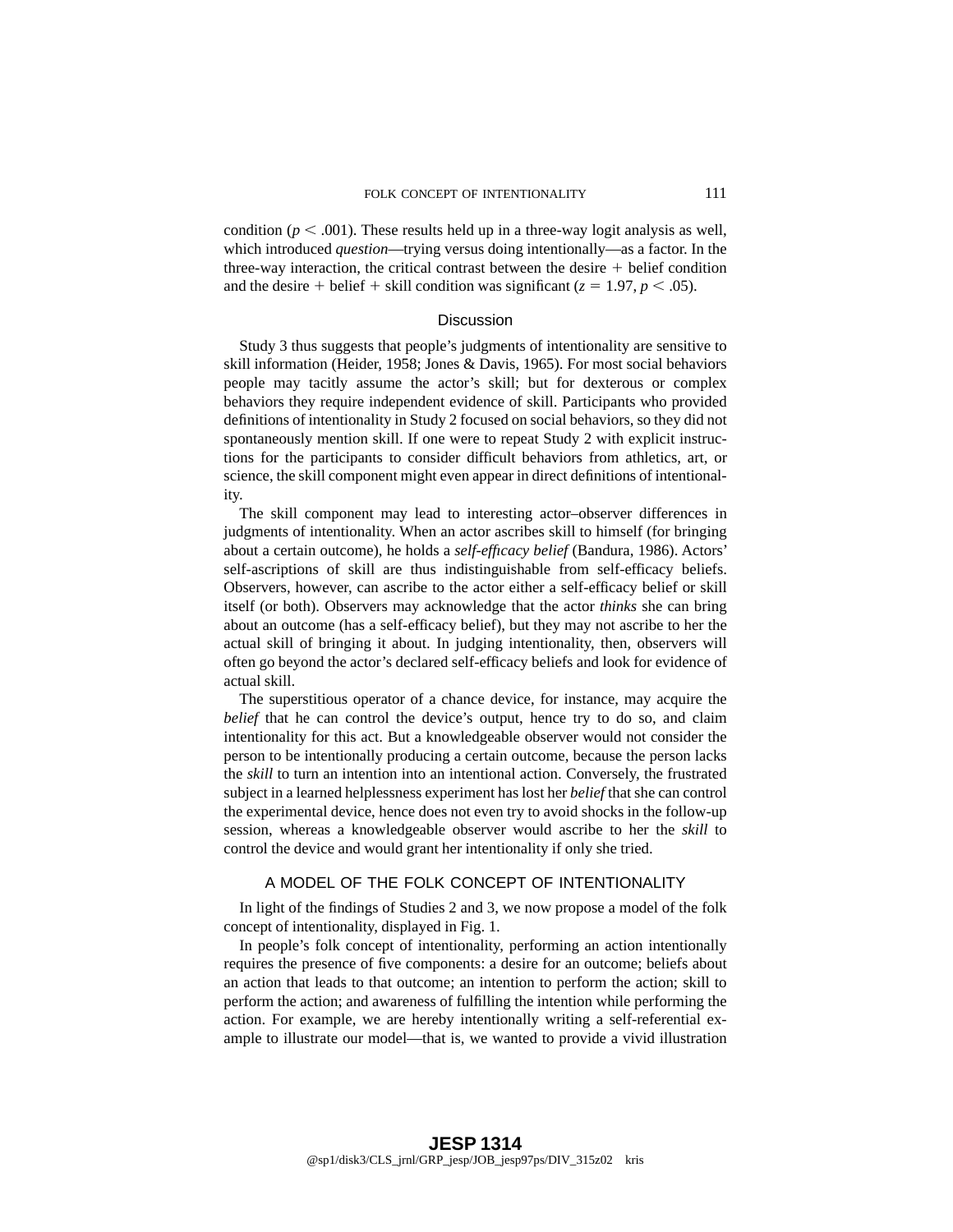condition ( $p < .001$ ). These results held up in a three-way logit analysis as well, which introduced *question*—trying versus doing intentionally—as a factor. In the three-way interaction, the critical contrast between the desire  $+$  belief condition and the desire  $+$  belief  $+$  skill condition was significant ( $z = 1.97$ ,  $p < .05$ ).

# **Discussion**

Study 3 thus suggests that people's judgments of intentionality are sensitive to skill information (Heider, 1958; Jones & Davis, 1965). For most social behaviors people may tacitly assume the actor's skill; but for dexterous or complex behaviors they require independent evidence of skill. Participants who provided definitions of intentionality in Study 2 focused on social behaviors, so they did not spontaneously mention skill. If one were to repeat Study 2 with explicit instructions for the participants to consider difficult behaviors from athletics, art, or science, the skill component might even appear in direct definitions of intentionality.

The skill component may lead to interesting actor–observer differences in judgments of intentionality. When an actor ascribes skill to himself (for bringing about a certain outcome), he holds a *self-effıcacy belief* (Bandura, 1986). Actors' self-ascriptions of skill are thus indistinguishable from self-efficacy beliefs. Observers, however, can ascribe to the actor either a self-efficacy belief or skill itself (or both). Observers may acknowledge that the actor *thinks* she can bring about an outcome (has a self-efficacy belief), but they may not ascribe to her the actual skill of bringing it about. In judging intentionality, then, observers will often go beyond the actor's declared self-efficacy beliefs and look for evidence of actual skill.

The superstitious operator of a chance device, for instance, may acquire the *belief* that he can control the device's output, hence try to do so, and claim intentionality for this act. But a knowledgeable observer would not consider the person to be intentionally producing a certain outcome, because the person lacks the *skill* to turn an intention into an intentional action. Conversely, the frustrated subject in a learned helplessness experiment has lost her *belief* that she can control the experimental device, hence does not even try to avoid shocks in the follow-up session, whereas a knowledgeable observer would ascribe to her the *skill* to control the device and would grant her intentionality if only she tried.

# A MODEL OF THE FOLK CONCEPT OF INTENTIONALITY

In light of the findings of Studies 2 and 3, we now propose a model of the folk concept of intentionality, displayed in Fig. 1.

In people's folk concept of intentionality, performing an action intentionally requires the presence of five components: a desire for an outcome; beliefs about an action that leads to that outcome; an intention to perform the action; skill to perform the action; and awareness of fulfilling the intention while performing the action. For example, we are hereby intentionally writing a self-referential example to illustrate our model—that is, we wanted to provide a vivid illustration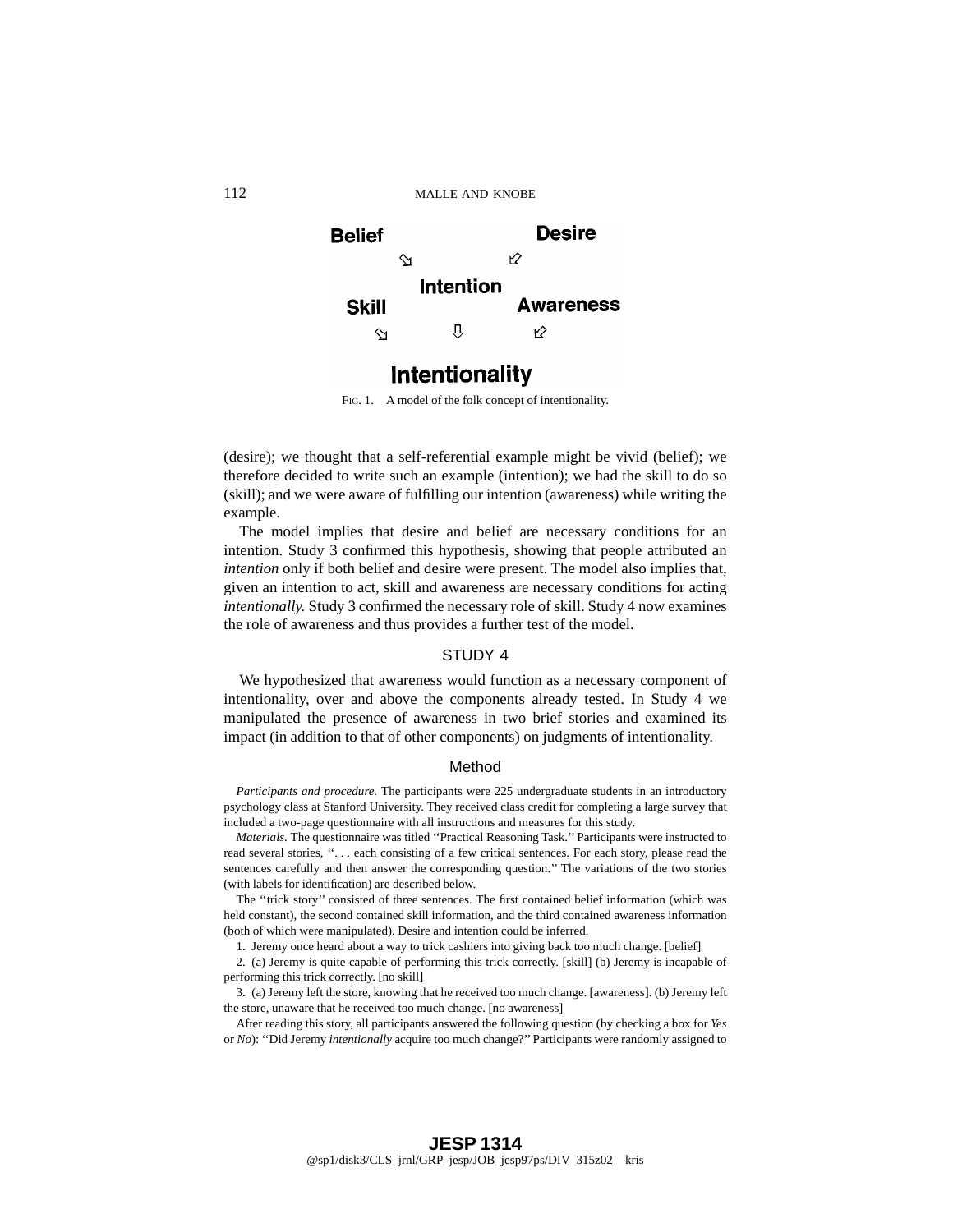

FIG. 1. A model of the folk concept of intentionality.

(desire); we thought that a self-referential example might be vivid (belief); we therefore decided to write such an example (intention); we had the skill to do so (skill); and we were aware of fulfilling our intention (awareness) while writing the example.

The model implies that desire and belief are necessary conditions for an intention. Study 3 confirmed this hypothesis, showing that people attributed an *intention* only if both belief and desire were present. The model also implies that, given an intention to act, skill and awareness are necessary conditions for acting *intentionally.* Study 3 confirmed the necessary role of skill. Study 4 now examines the role of awareness and thus provides a further test of the model.

### STUDY 4

We hypothesized that awareness would function as a necessary component of intentionality, over and above the components already tested. In Study 4 we manipulated the presence of awareness in two brief stories and examined its impact (in addition to that of other components) on judgments of intentionality.

### Method

*Participants and procedure.* The participants were 225 undergraduate students in an introductory psychology class at Stanford University. They received class credit for completing a large survey that included a two-page questionnaire with all instructions and measures for this study.

*Materials.* The questionnaire was titled ''Practical Reasoning Task.'' Participants were instructed to read several stories, "... each consisting of a few critical sentences. For each story, please read the sentences carefully and then answer the corresponding question.'' The variations of the two stories (with labels for identification) are described below.

The ''trick story'' consisted of three sentences. The first contained belief information (which was held constant), the second contained skill information, and the third contained awareness information (both of which were manipulated). Desire and intention could be inferred.

1. Jeremy once heard about a way to trick cashiers into giving back too much change. [belief]

2. (a) Jeremy is quite capable of performing this trick correctly. [skill] (b) Jeremy is incapable of performing this trick correctly. [no skill]

3. (a) Jeremy left the store, knowing that he received too much change. [awareness]. (b) Jeremy left the store, unaware that he received too much change. [no awareness]

After reading this story, all participants answered the following question (by checking a box for *Yes* or *No*): ''Did Jeremy *intentionally* acquire too much change?'' Participants were randomly assigned to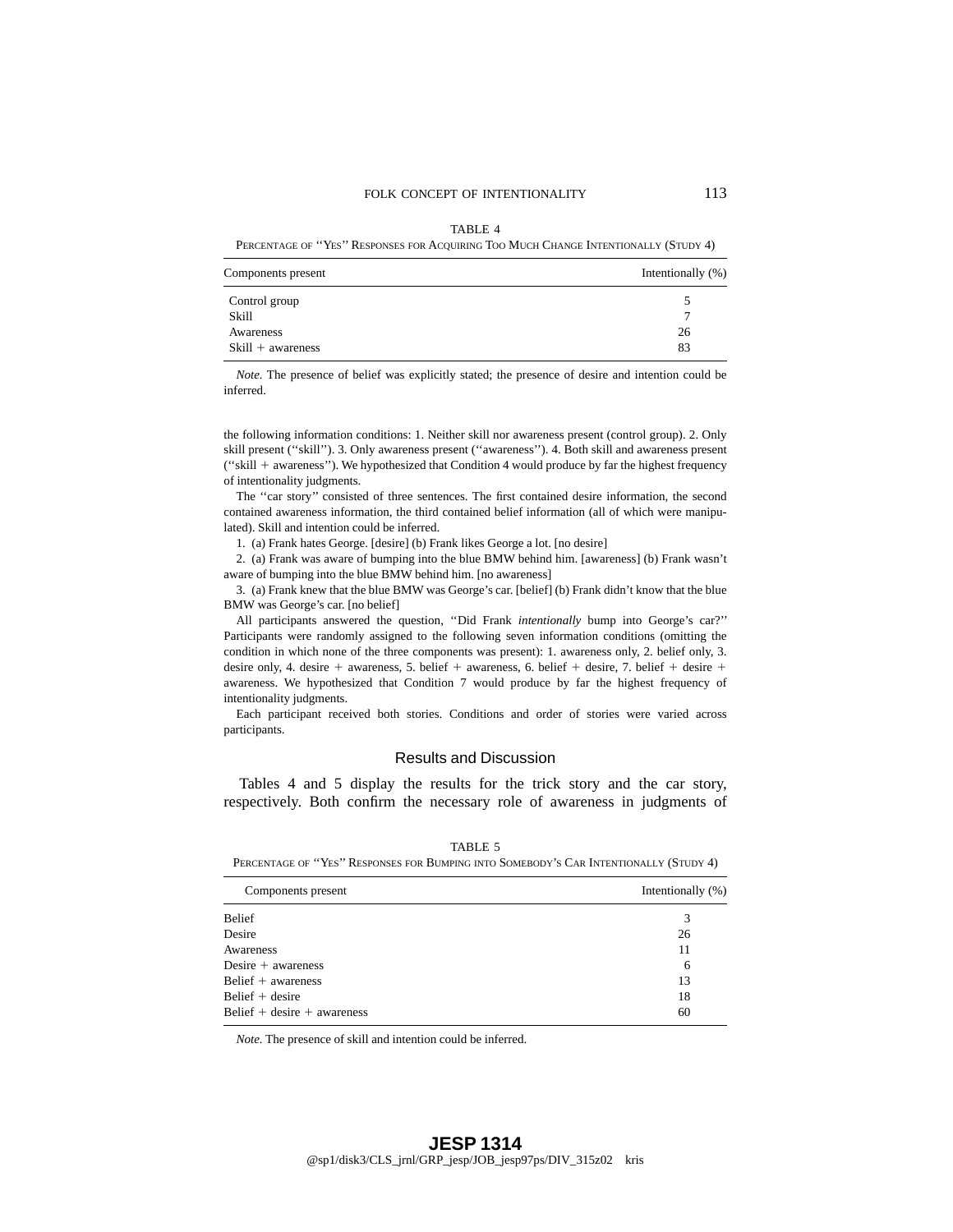### FOLK CONCEPT OF INTENTIONALITY 113

#### TABLE 4

| Components present                | Intentionally $(\%)$ |
|-----------------------------------|----------------------|
| Control group                     |                      |
| Skill                             | ⇁                    |
| Awareness                         | 26                   |
| $\text{Skill} + \text{awareness}$ | 83                   |
|                                   |                      |

*Note*. The presence of belief was explicitly stated; the presence of desire and intention could be inferred.

the following information conditions: 1. Neither skill nor awareness present (control group). 2. Only skill present (''skill''). 3. Only awareness present (''awareness''). 4. Both skill and awareness present ("skill  $+$  awareness"). We hypothesized that Condition 4 would produce by far the highest frequency of intentionality judgments.

The ''car story'' consisted of three sentences. The first contained desire information, the second contained awareness information, the third contained belief information (all of which were manipulated). Skill and intention could be inferred.

1. (a) Frank hates George. [desire] (b) Frank likes George a lot. [no desire]

2. (a) Frank was aware of bumping into the blue BMW behind him. [awareness] (b) Frank wasn't aware of bumping into the blue BMW behind him. [no awareness]

3. (a) Frank knew that the blue BMW was George's car. [belief] (b) Frank didn't know that the blue BMW was George's car. [no belief]

All participants answered the question, ''Did Frank *intentionally* bump into George's car?'' Participants were randomly assigned to the following seven information conditions (omitting the condition in which none of the three components was present): 1. awareness only, 2. belief only, 3. desire only, 4. desire  $+$  awareness, 5. belief  $+$  awareness, 6. belief  $+$  desire, 7. belief  $+$  desire  $+$ awareness. We hypothesized that Condition 7 would produce by far the highest frequency of intentionality judgments.

Each participant received both stories. Conditions and order of stories were varied across participants.

# Results and Discussion

Tables 4 and 5 display the results for the trick story and the car story, respectively. Both confirm the necessary role of awareness in judgments of

TABLE 5

PERCENTAGE OF ''YES'' RESPONSES FOR BUMPING INTO SOMEBODY'S CAR INTENTIONALLY (STUDY 4)

| Components present              | Intentionally (%) |
|---------------------------------|-------------------|
| Belief                          | 3                 |
| Desire                          | 26                |
| Awareness                       | 11                |
| Desire $+$ awareness            | 6                 |
| Belief + awareness              | 13                |
| Belief + desire                 | 18                |
| Belief $+$ desire $+$ awareness | 60                |
|                                 |                   |

*Note.* The presence of skill and intention could be inferred.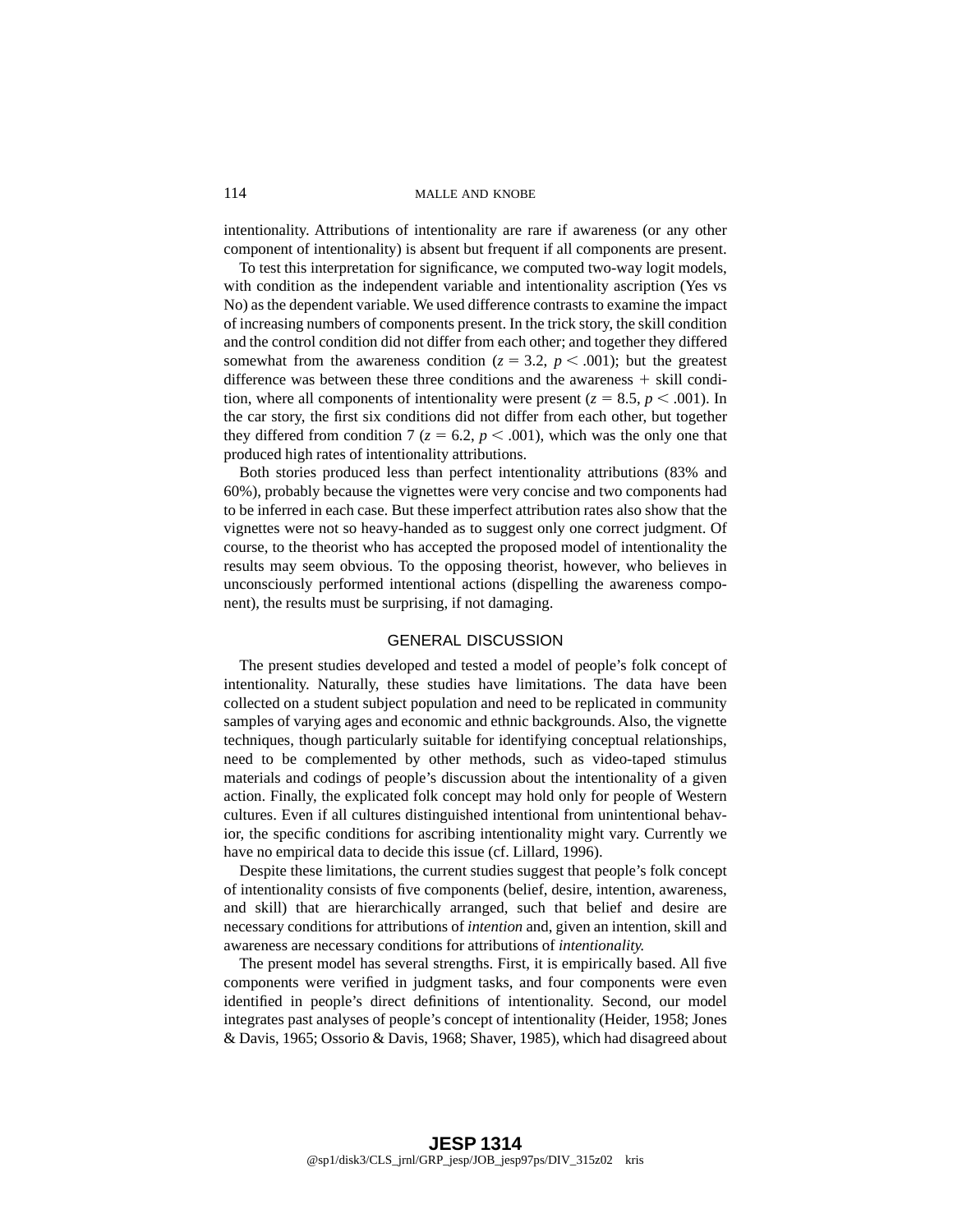intentionality. Attributions of intentionality are rare if awareness (or any other component of intentionality) is absent but frequent if all components are present.

To test this interpretation for significance, we computed two-way logit models, with condition as the independent variable and intentionality ascription (Yes vs No) as the dependent variable. We used difference contrasts to examine the impact of increasing numbers of components present. In the trick story, the skill condition and the control condition did not differ from each other; and together they differed somewhat from the awareness condition ( $z = 3.2$ ,  $p < .001$ ); but the greatest difference was between these three conditions and the awareness  $+$  skill condition, where all components of intentionality were present ( $z = 8.5$ ,  $p < .001$ ). In the car story, the first six conditions did not differ from each other, but together they differed from condition 7 ( $z = 6.2$ ,  $p < .001$ ), which was the only one that produced high rates of intentionality attributions.

Both stories produced less than perfect intentionality attributions (83% and 60%), probably because the vignettes were very concise and two components had to be inferred in each case. But these imperfect attribution rates also show that the vignettes were not so heavy-handed as to suggest only one correct judgment. Of course, to the theorist who has accepted the proposed model of intentionality the results may seem obvious. To the opposing theorist, however, who believes in unconsciously performed intentional actions (dispelling the awareness component), the results must be surprising, if not damaging.

# GENERAL DISCUSSION

The present studies developed and tested a model of people's folk concept of intentionality. Naturally, these studies have limitations. The data have been collected on a student subject population and need to be replicated in community samples of varying ages and economic and ethnic backgrounds. Also, the vignette techniques, though particularly suitable for identifying conceptual relationships, need to be complemented by other methods, such as video-taped stimulus materials and codings of people's discussion about the intentionality of a given action. Finally, the explicated folk concept may hold only for people of Western cultures. Even if all cultures distinguished intentional from unintentional behavior, the specific conditions for ascribing intentionality might vary. Currently we have no empirical data to decide this issue (cf. Lillard, 1996).

Despite these limitations, the current studies suggest that people's folk concept of intentionality consists of five components (belief, desire, intention, awareness, and skill) that are hierarchically arranged, such that belief and desire are necessary conditions for attributions of *intention* and, given an intention, skill and awareness are necessary conditions for attributions of *intentionality.*

The present model has several strengths. First, it is empirically based. All five components were verified in judgment tasks, and four components were even identified in people's direct definitions of intentionality. Second, our model integrates past analyses of people's concept of intentionality (Heider, 1958; Jones & Davis, 1965; Ossorio & Davis, 1968; Shaver, 1985), which had disagreed about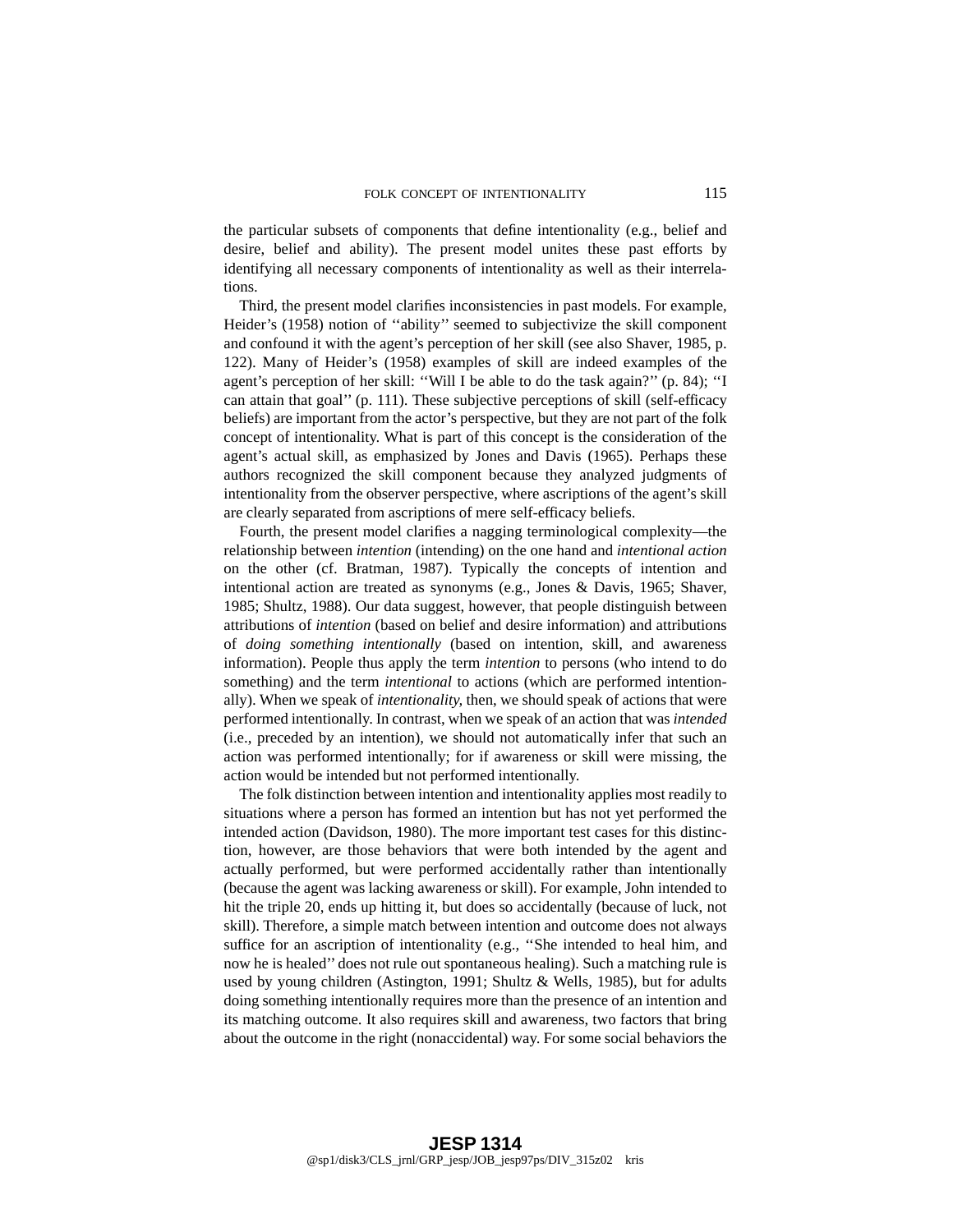the particular subsets of components that define intentionality (e.g., belief and desire, belief and ability). The present model unites these past efforts by identifying all necessary components of intentionality as well as their interrelations.

Third, the present model clarifies inconsistencies in past models. For example, Heider's (1958) notion of "ability" seemed to subjectivize the skill component and confound it with the agent's perception of her skill (see also Shaver, 1985, p. 122). Many of Heider's (1958) examples of skill are indeed examples of the agent's perception of her skill: ''Will I be able to do the task again?'' (p. 84); ''I can attain that goal'' (p. 111). These subjective perceptions of skill (self-efficacy beliefs) are important from the actor's perspective, but they are not part of the folk concept of intentionality. What is part of this concept is the consideration of the agent's actual skill, as emphasized by Jones and Davis (1965). Perhaps these authors recognized the skill component because they analyzed judgments of intentionality from the observer perspective, where ascriptions of the agent's skill are clearly separated from ascriptions of mere self-efficacy beliefs.

Fourth, the present model clarifies a nagging terminological complexity—the relationship between *intention* (intending) on the one hand and *intentional action* on the other (cf. Bratman, 1987). Typically the concepts of intention and intentional action are treated as synonyms (e.g., Jones & Davis, 1965; Shaver, 1985; Shultz, 1988). Our data suggest, however, that people distinguish between attributions of *intention* (based on belief and desire information) and attributions of *doing something intentionally* (based on intention, skill, and awareness information). People thus apply the term *intention* to persons (who intend to do something) and the term *intentional* to actions (which are performed intentionally). When we speak of *intentionality,* then, we should speak of actions that were performed intentionally. In contrast, when we speak of an action that was *intended* (i.e., preceded by an intention), we should not automatically infer that such an action was performed intentionally; for if awareness or skill were missing, the action would be intended but not performed intentionally.

The folk distinction between intention and intentionality applies most readily to situations where a person has formed an intention but has not yet performed the intended action (Davidson, 1980). The more important test cases for this distinction, however, are those behaviors that were both intended by the agent and actually performed, but were performed accidentally rather than intentionally (because the agent was lacking awareness or skill). For example, John intended to hit the triple 20, ends up hitting it, but does so accidentally (because of luck, not skill). Therefore, a simple match between intention and outcome does not always suffice for an ascription of intentionality (e.g., ''She intended to heal him, and now he is healed'' does not rule out spontaneous healing). Such a matching rule is used by young children (Astington, 1991; Shultz & Wells, 1985), but for adults doing something intentionally requires more than the presence of an intention and its matching outcome. It also requires skill and awareness, two factors that bring about the outcome in the right (nonaccidental) way. For some social behaviors the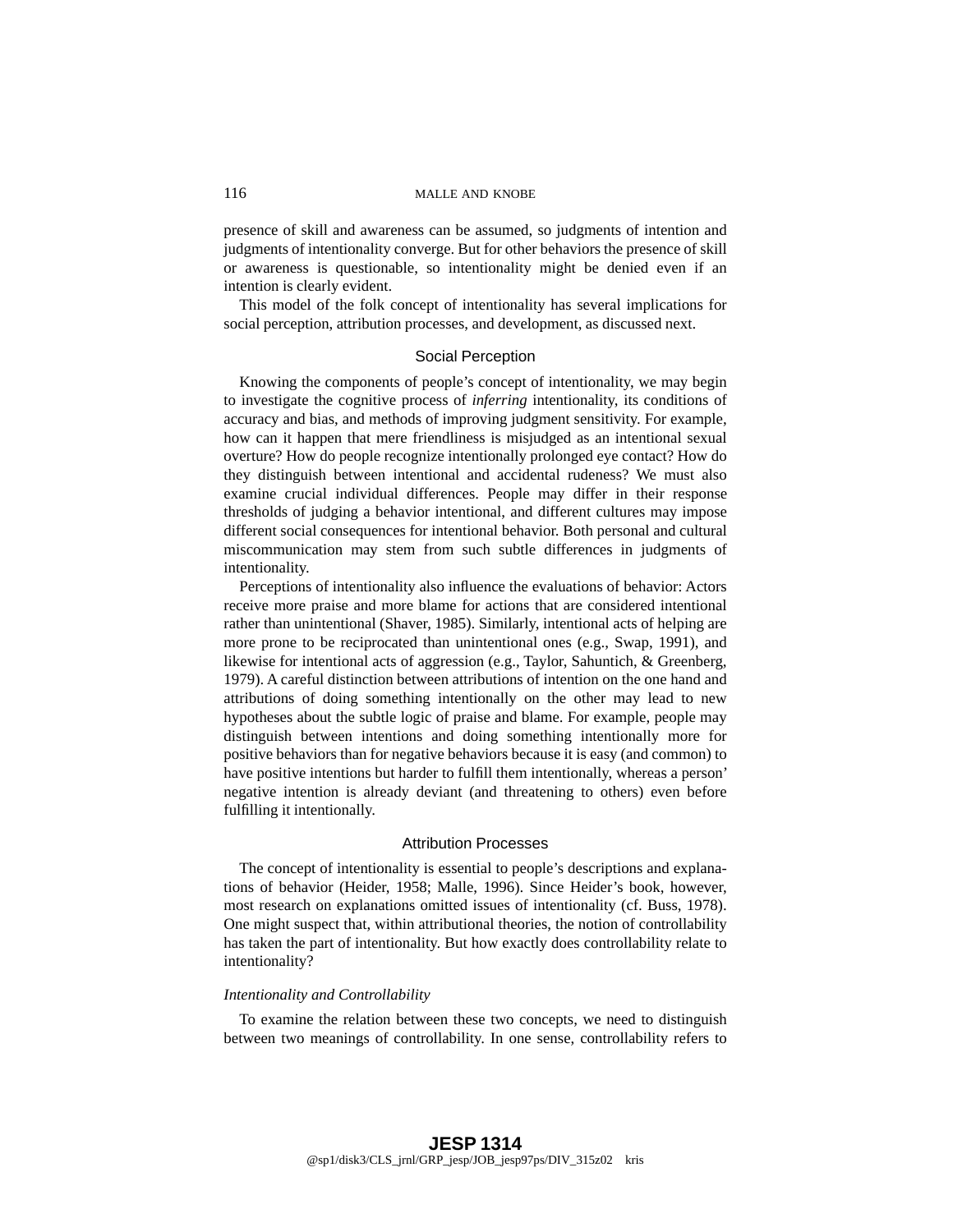presence of skill and awareness can be assumed, so judgments of intention and judgments of intentionality converge. But for other behaviors the presence of skill or awareness is questionable, so intentionality might be denied even if an intention is clearly evident.

This model of the folk concept of intentionality has several implications for social perception, attribution processes, and development, as discussed next.

# Social Perception

Knowing the components of people's concept of intentionality, we may begin to investigate the cognitive process of *inferring* intentionality, its conditions of accuracy and bias, and methods of improving judgment sensitivity. For example, how can it happen that mere friendliness is misjudged as an intentional sexual overture? How do people recognize intentionally prolonged eye contact? How do they distinguish between intentional and accidental rudeness? We must also examine crucial individual differences. People may differ in their response thresholds of judging a behavior intentional, and different cultures may impose different social consequences for intentional behavior. Both personal and cultural miscommunication may stem from such subtle differences in judgments of intentionality.

Perceptions of intentionality also influence the evaluations of behavior: Actors receive more praise and more blame for actions that are considered intentional rather than unintentional (Shaver, 1985). Similarly, intentional acts of helping are more prone to be reciprocated than unintentional ones (e.g., Swap, 1991), and likewise for intentional acts of aggression (e.g., Taylor, Sahuntich, & Greenberg, 1979). A careful distinction between attributions of intention on the one hand and attributions of doing something intentionally on the other may lead to new hypotheses about the subtle logic of praise and blame. For example, people may distinguish between intentions and doing something intentionally more for positive behaviors than for negative behaviors because it is easy (and common) to have positive intentions but harder to fulfill them intentionally, whereas a person' negative intention is already deviant (and threatening to others) even before fulfilling it intentionally.

# Attribution Processes

The concept of intentionality is essential to people's descriptions and explanations of behavior (Heider, 1958; Malle, 1996). Since Heider's book, however, most research on explanations omitted issues of intentionality (cf. Buss, 1978). One might suspect that, within attributional theories, the notion of controllability has taken the part of intentionality. But how exactly does controllability relate to intentionality?

### *Intentionality and Controllability*

To examine the relation between these two concepts, we need to distinguish between two meanings of controllability. In one sense, controllability refers to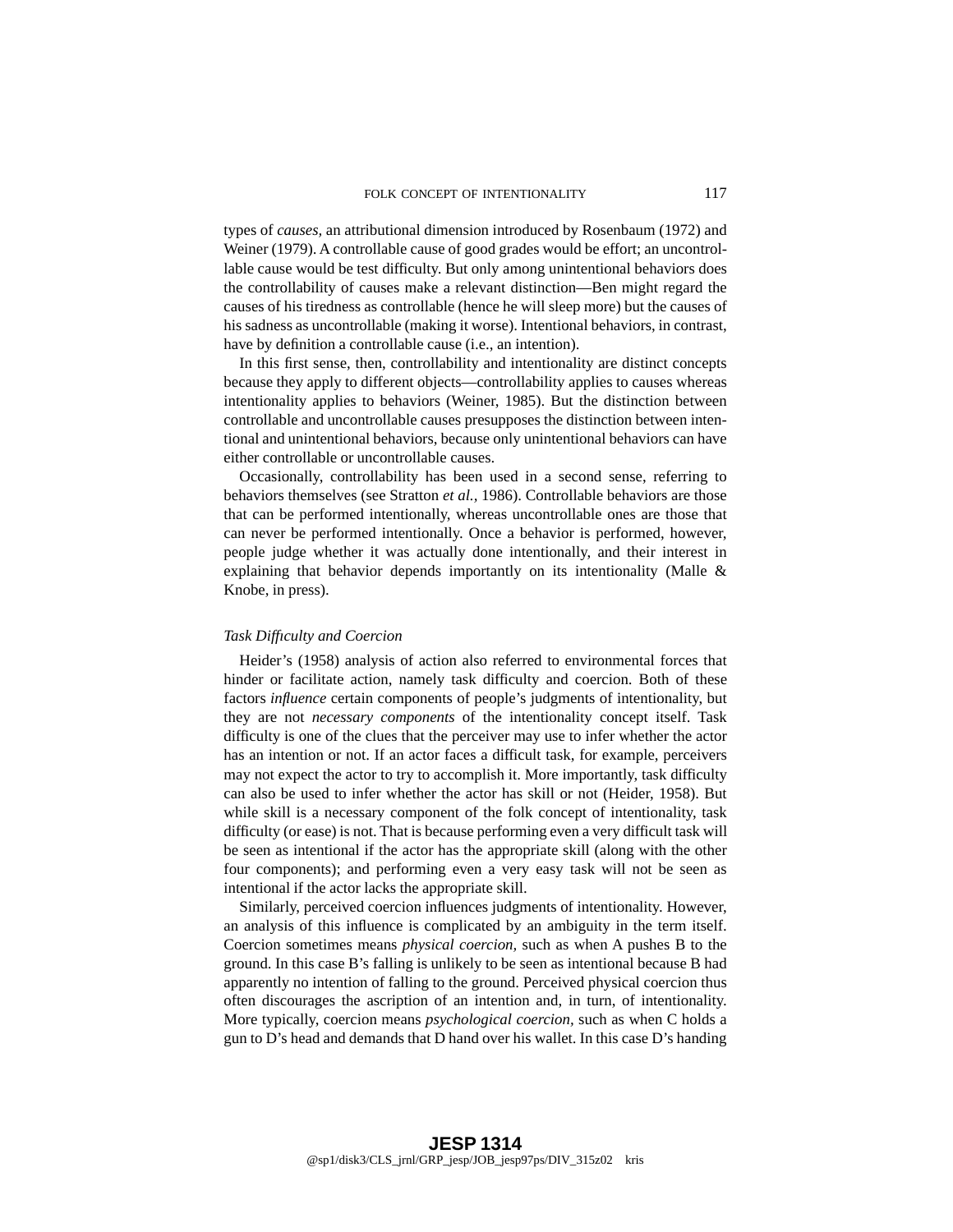types of *causes,* an attributional dimension introduced by Rosenbaum (1972) and Weiner (1979). A controllable cause of good grades would be effort; an uncontrollable cause would be test difficulty. But only among unintentional behaviors does the controllability of causes make a relevant distinction—Ben might regard the causes of his tiredness as controllable (hence he will sleep more) but the causes of his sadness as uncontrollable (making it worse). Intentional behaviors, in contrast, have by definition a controllable cause (i.e., an intention).

In this first sense, then, controllability and intentionality are distinct concepts because they apply to different objects—controllability applies to causes whereas intentionality applies to behaviors (Weiner, 1985). But the distinction between controllable and uncontrollable causes presupposes the distinction between intentional and unintentional behaviors, because only unintentional behaviors can have either controllable or uncontrollable causes.

Occasionally, controllability has been used in a second sense, referring to behaviors themselves (see Stratton *et al.,* 1986). Controllable behaviors are those that can be performed intentionally, whereas uncontrollable ones are those that can never be performed intentionally. Once a behavior is performed, however, people judge whether it was actually done intentionally, and their interest in explaining that behavior depends importantly on its intentionality (Malle & Knobe, in press).

## *Task Diffıculty and Coercion*

Heider's (1958) analysis of action also referred to environmental forces that hinder or facilitate action, namely task difficulty and coercion. Both of these factors *influence* certain components of people's judgments of intentionality, but they are not *necessary components* of the intentionality concept itself. Task difficulty is one of the clues that the perceiver may use to infer whether the actor has an intention or not. If an actor faces a difficult task, for example, perceivers may not expect the actor to try to accomplish it. More importantly, task difficulty can also be used to infer whether the actor has skill or not (Heider, 1958). But while skill is a necessary component of the folk concept of intentionality, task difficulty (or ease) is not. That is because performing even a very difficult task will be seen as intentional if the actor has the appropriate skill (along with the other four components); and performing even a very easy task will not be seen as intentional if the actor lacks the appropriate skill.

Similarly, perceived coercion influences judgments of intentionality. However, an analysis of this influence is complicated by an ambiguity in the term itself. Coercion sometimes means *physical coercion,* such as when A pushes B to the ground. In this case B's falling is unlikely to be seen as intentional because B had apparently no intention of falling to the ground. Perceived physical coercion thus often discourages the ascription of an intention and, in turn, of intentionality. More typically, coercion means *psychological coercion,* such as when C holds a gun to D's head and demands that D hand over his wallet. In this case D's handing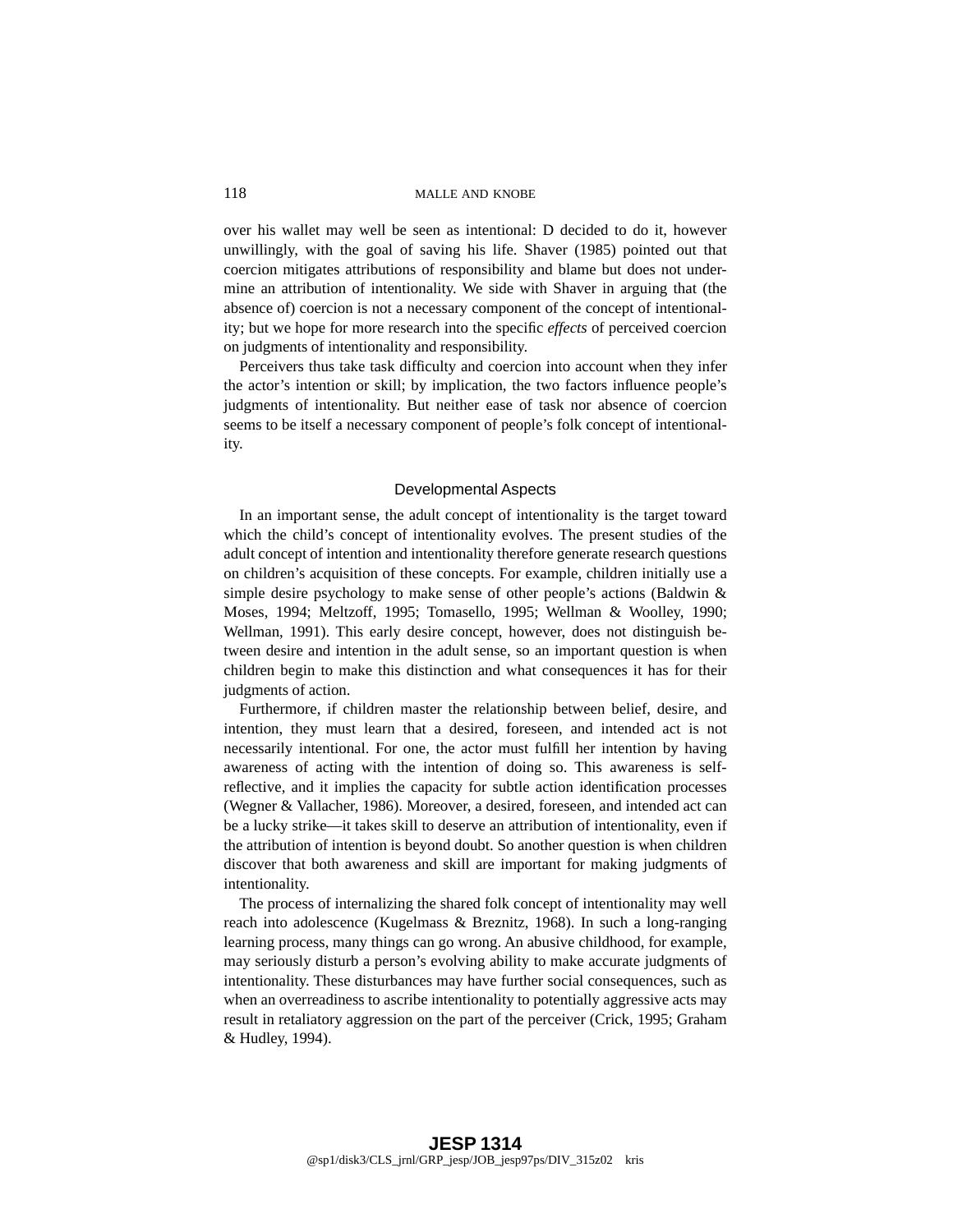over his wallet may well be seen as intentional: D decided to do it, however unwillingly, with the goal of saving his life. Shaver (1985) pointed out that coercion mitigates attributions of responsibility and blame but does not undermine an attribution of intentionality. We side with Shaver in arguing that (the absence of) coercion is not a necessary component of the concept of intentionality; but we hope for more research into the specific *effects* of perceived coercion on judgments of intentionality and responsibility.

Perceivers thus take task difficulty and coercion into account when they infer the actor's intention or skill; by implication, the two factors influence people's judgments of intentionality. But neither ease of task nor absence of coercion seems to be itself a necessary component of people's folk concept of intentionality.

## Developmental Aspects

In an important sense, the adult concept of intentionality is the target toward which the child's concept of intentionality evolves. The present studies of the adult concept of intention and intentionality therefore generate research questions on children's acquisition of these concepts. For example, children initially use a simple desire psychology to make sense of other people's actions (Baldwin & Moses, 1994; Meltzoff, 1995; Tomasello, 1995; Wellman & Woolley, 1990; Wellman, 1991). This early desire concept, however, does not distinguish between desire and intention in the adult sense, so an important question is when children begin to make this distinction and what consequences it has for their judgments of action.

Furthermore, if children master the relationship between belief, desire, and intention, they must learn that a desired, foreseen, and intended act is not necessarily intentional. For one, the actor must fulfill her intention by having awareness of acting with the intention of doing so. This awareness is selfreflective, and it implies the capacity for subtle action identification processes (Wegner & Vallacher, 1986). Moreover, a desired, foreseen, and intended act can be a lucky strike—it takes skill to deserve an attribution of intentionality, even if the attribution of intention is beyond doubt. So another question is when children discover that both awareness and skill are important for making judgments of intentionality.

The process of internalizing the shared folk concept of intentionality may well reach into adolescence (Kugelmass & Breznitz, 1968). In such a long-ranging learning process, many things can go wrong. An abusive childhood, for example, may seriously disturb a person's evolving ability to make accurate judgments of intentionality. These disturbances may have further social consequences, such as when an overreadiness to ascribe intentionality to potentially aggressive acts may result in retaliatory aggression on the part of the perceiver (Crick, 1995; Graham & Hudley, 1994).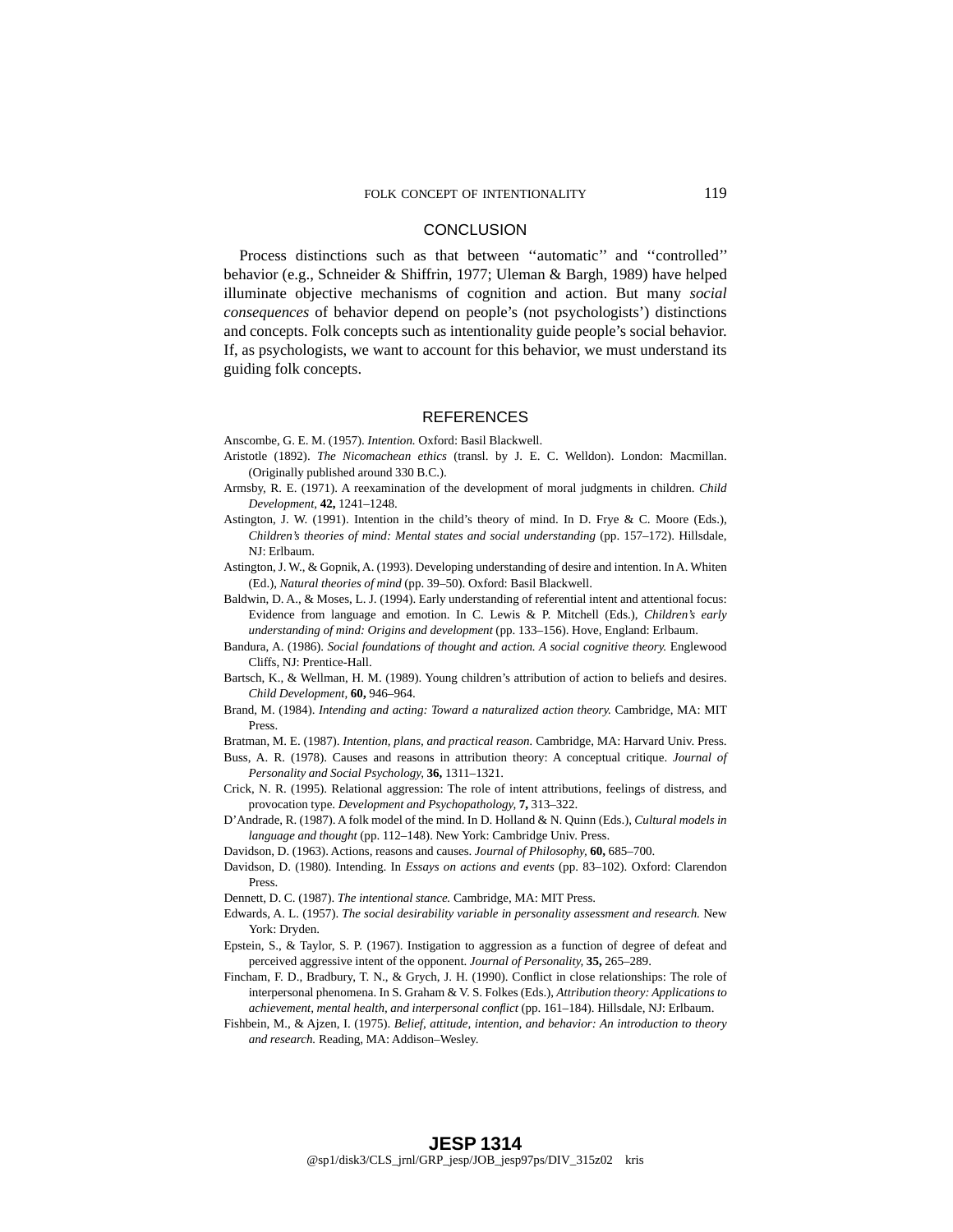# **CONCLUSION**

Process distinctions such as that between ''automatic'' and ''controlled'' behavior (e.g., Schneider & Shiffrin, 1977; Uleman & Bargh, 1989) have helped illuminate objective mechanisms of cognition and action. But many *social consequences* of behavior depend on people's (not psychologists') distinctions and concepts. Folk concepts such as intentionality guide people's social behavior. If, as psychologists, we want to account for this behavior, we must understand its guiding folk concepts.

# **REFERENCES**

- Anscombe, G. E. M. (1957). *Intention.* Oxford: Basil Blackwell.
- Aristotle (1892). *The Nicomachean ethics* (transl. by J. E. C. Welldon). London: Macmillan. (Originally published around 330 B.C.).
- Armsby, R. E. (1971). A reexamination of the development of moral judgments in children. *Child Development,* **42,** 1241–1248.
- Astington, J. W. (1991). Intention in the child's theory of mind. In D. Frye & C. Moore (Eds.), *Children's theories of mind: Mental states and social understanding* (pp. 157–172). Hillsdale, NJ: Erlbaum.
- Astington, J. W., & Gopnik, A. (1993). Developing understanding of desire and intention. In A. Whiten (Ed.), *Natural theories of mind* (pp. 39–50). Oxford: Basil Blackwell.
- Baldwin, D. A., & Moses, L. J. (1994). Early understanding of referential intent and attentional focus: Evidence from language and emotion. In C. Lewis & P. Mitchell (Eds.), *Children's early understanding of mind: Origins and development* (pp. 133–156). Hove, England: Erlbaum.
- Bandura, A. (1986). *Social foundations of thought and action. A social cognitive theory.* Englewood Cliffs, NJ: Prentice-Hall.
- Bartsch, K., & Wellman, H. M. (1989). Young children's attribution of action to beliefs and desires. *Child Development,* **60,** 946–964.
- Brand, M. (1984). *Intending and acting: Toward a naturalized action theory.* Cambridge, MA: MIT Press.
- Bratman, M. E. (1987). *Intention, plans, and practical reason.* Cambridge, MA: Harvard Univ. Press.
- Buss, A. R. (1978). Causes and reasons in attribution theory: A conceptual critique. *Journal of Personality and Social Psychology,* **36,** 1311–1321.
- Crick, N. R. (1995). Relational aggression: The role of intent attributions, feelings of distress, and provocation type. *Development and Psychopathology,* **7,** 313–322.
- D'Andrade, R. (1987). A folk model of the mind. In D. Holland & N. Quinn (Eds.), *Cultural models in language and thought* (pp. 112–148). New York: Cambridge Univ. Press.
- Davidson, D. (1963). Actions, reasons and causes. *Journal of Philosophy,* **60,** 685–700.
- Davidson, D. (1980). Intending. In *Essays on actions and events* (pp. 83–102). Oxford: Clarendon Press.
- Dennett, D. C. (1987). *The intentional stance.* Cambridge, MA: MIT Press.
- Edwards, A. L. (1957). *The social desirability variable in personality assessment and research.* New York: Dryden.
- Epstein, S., & Taylor, S. P. (1967). Instigation to aggression as a function of degree of defeat and perceived aggressive intent of the opponent. *Journal of Personality,* **35,** 265–289.
- Fincham, F. D., Bradbury, T. N., & Grych, J. H. (1990). Conflict in close relationships: The role of interpersonal phenomena. In S. Graham & V. S. Folkes (Eds.), *Attribution theory: Applications to achievement, mental health, and interpersonal conflict* (pp. 161–184). Hillsdale, NJ: Erlbaum.
- Fishbein, M., & Ajzen, I. (1975). *Belief, attitude, intention, and behavior: An introduction to theory and research.* Reading, MA: Addison–Wesley.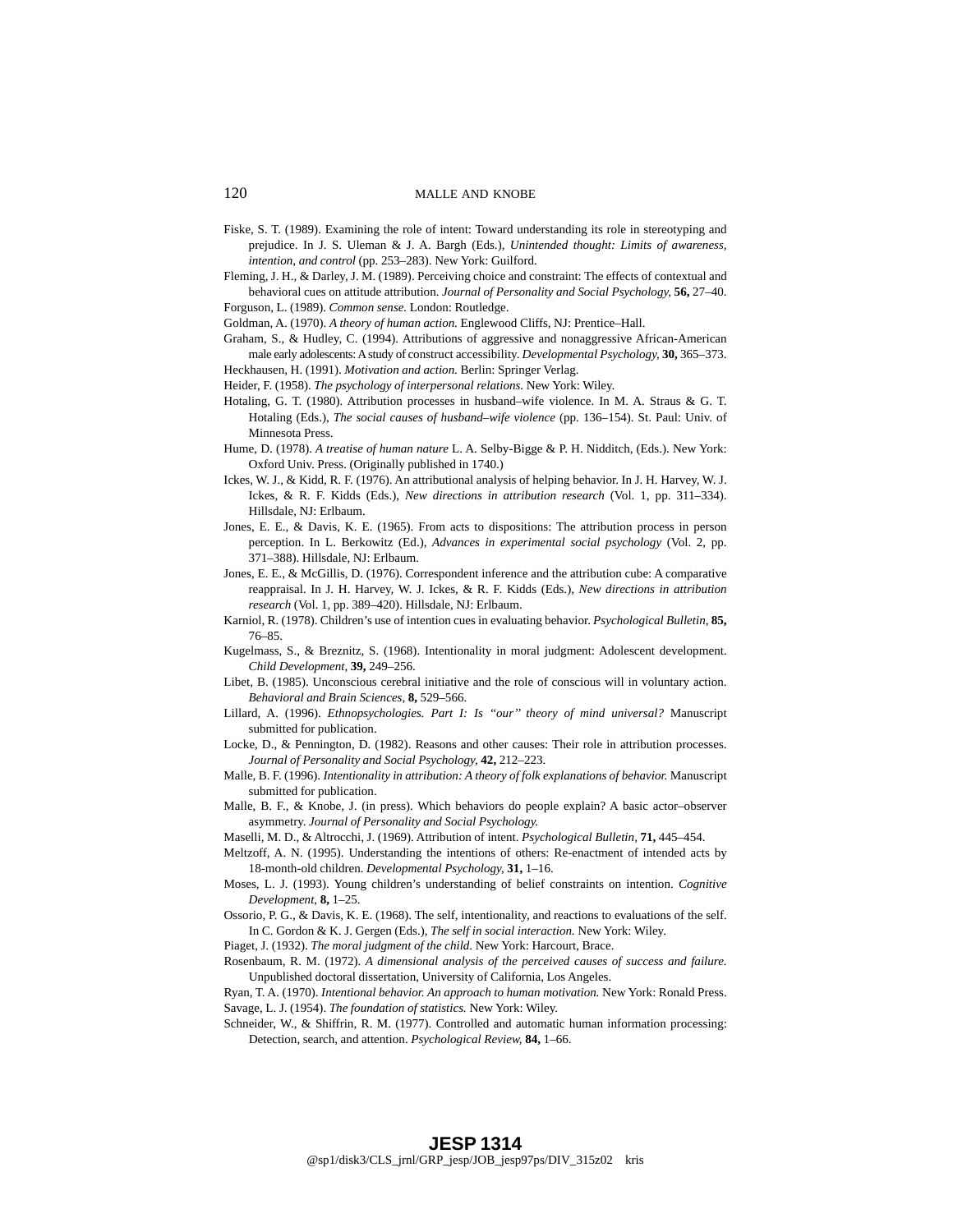- Fiske, S. T. (1989). Examining the role of intent: Toward understanding its role in stereotyping and prejudice. In J. S. Uleman & J. A. Bargh (Eds.), *Unintended thought: Limits of awareness, intention, and control* (pp. 253–283). New York: Guilford.
- Fleming, J. H., & Darley, J. M. (1989). Perceiving choice and constraint: The effects of contextual and behavioral cues on attitude attribution. *Journal of Personality and Social Psychology,* **56,** 27–40.

Forguson, L. (1989). *Common sense.* London: Routledge.

Goldman, A. (1970). *A theory of human action.* Englewood Cliffs, NJ: Prentice–Hall.

Graham, S., & Hudley, C. (1994). Attributions of aggressive and nonaggressive African-American male early adolescents: A study of construct accessibility. *Developmental Psychology,* **30,** 365–373. Heckhausen, H. (1991). *Motivation and action.* Berlin: Springer Verlag.

- Heider, F. (1958). *The psychology of interpersonal relations.* New York: Wiley.
- Hotaling, G. T. (1980). Attribution processes in husband–wife violence. In M. A. Straus & G. T. Hotaling (Eds.), *The social causes of husband–wife violence* (pp. 136–154). St. Paul: Univ. of Minnesota Press.
- Hume, D. (1978). *A treatise of human nature* L. A. Selby-Bigge & P. H. Nidditch, (Eds.). New York: Oxford Univ. Press. (Originally published in 1740.)
- Ickes, W. J., & Kidd, R. F. (1976). An attributional analysis of helping behavior. In J. H. Harvey, W. J. Ickes, & R. F. Kidds (Eds.), *New directions in attribution research* (Vol. 1, pp. 311–334). Hillsdale, NJ: Erlbaum.
- Jones, E. E., & Davis, K. E. (1965). From acts to dispositions: The attribution process in person perception. In L. Berkowitz (Ed.), *Advances in experimental social psychology* (Vol. 2, pp. 371–388). Hillsdale, NJ: Erlbaum.
- Jones, E. E., & McGillis, D. (1976). Correspondent inference and the attribution cube: A comparative reappraisal. In J. H. Harvey, W. J. Ickes, & R. F. Kidds (Eds.), *New directions in attribution research* (Vol. 1, pp. 389–420). Hillsdale, NJ: Erlbaum.
- Karniol, R. (1978). Children's use of intention cues in evaluating behavior. *Psychological Bulletin,* **85,** 76–85.
- Kugelmass, S., & Breznitz, S. (1968). Intentionality in moral judgment: Adolescent development. *Child Development,* **39,** 249–256.
- Libet, B. (1985). Unconscious cerebral initiative and the role of conscious will in voluntary action. *Behavioral and Brain Sciences,* **8,** 529–566.
- Lillard, A. (1996). *Ethnopsychologies. Part I: Is ''our'' theory of mind universal?* Manuscript submitted for publication.
- Locke, D., & Pennington, D. (1982). Reasons and other causes: Their role in attribution processes. *Journal of Personality and Social Psychology,* **42,** 212–223.
- Malle, B. F. (1996). *Intentionality in attribution: A theory of folk explanations of behavior.* Manuscript submitted for publication.
- Malle, B. F., & Knobe, J. (in press). Which behaviors do people explain? A basic actor–observer asymmetry. *Journal of Personality and Social Psychology.*
- Maselli, M. D., & Altrocchi, J. (1969). Attribution of intent. *Psychological Bulletin,* **71,** 445–454.
- Meltzoff, A. N. (1995). Understanding the intentions of others: Re-enactment of intended acts by 18-month-old children. *Developmental Psychology,* **31,** 1–16.
- Moses, L. J. (1993). Young children's understanding of belief constraints on intention. *Cognitive Development,* **8,** 1–25.
- Ossorio, P. G., & Davis, K. E. (1968). The self, intentionality, and reactions to evaluations of the self. In C. Gordon & K. J. Gergen (Eds.), *The self in social interaction.* New York: Wiley.

Piaget, J. (1932). *The moral judgment of the child.* New York: Harcourt, Brace.

- Rosenbaum, R. M. (1972). *A dimensional analysis of the perceived causes of success and failure.* Unpublished doctoral dissertation, University of California, Los Angeles.
- Ryan, T. A. (1970). *Intentional behavior. An approach to human motivation.* New York: Ronald Press. Savage, L. J. (1954). *The foundation of statistics.* New York: Wiley.
- Schneider, W., & Shiffrin, R. M. (1977). Controlled and automatic human information processing: Detection, search, and attention. *Psychological Review,* **84,** 1–66.